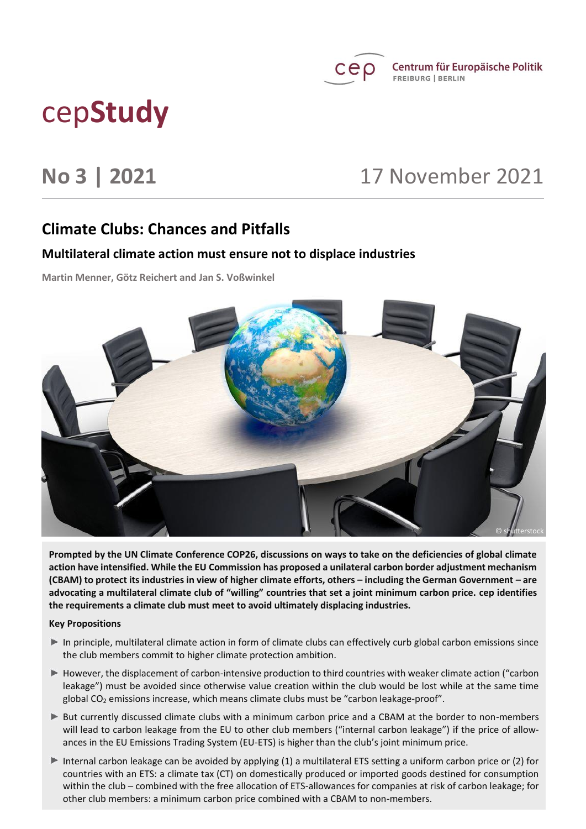

# cep**Study**

# **No 3 | 2021** 17 November 2021

# **Climate Clubs: Chances and Pitfalls**

# **Multilateral climate action must ensure not to displace industries**

**Martin Menner, Götz Reichert and Jan S. Voßwinkel**



**Prompted by the UN Climate Conference COP26, discussions on ways to take on the deficiencies of global climate action have intensified. While the EU Commission has proposed a unilateral carbon border adjustment mechanism (CBAM) to protect its industries in view of higher climate efforts, others – including the German Government – are advocating a multilateral climate club of "willing" countries that set a joint minimum carbon price. cep identifies the requirements a climate club must meet to avoid ultimately displacing industries.** 

#### **Key Propositions**

- In principle, multilateral climate action in form of climate clubs can effectively curb global carbon emissions since the club members commit to higher climate protection ambition.
- However, the displacement of carbon-intensive production to third countries with weaker climate action ("carbon leakage") must be avoided since otherwise value creation within the club would be lost while at the same time global  $CO<sub>2</sub>$  emissions increase, which means climate clubs must be "carbon leakage-proof".
- But currently discussed climate clubs with a minimum carbon price and a CBAM at the border to non-members will lead to carbon leakage from the EU to other club members ("internal carbon leakage") if the price of allowances in the EU Emissions Trading System (EU-ETS) is higher than the club's joint minimum price.
- Internal carbon leakage can be avoided by applying  $(1)$  a multilateral ETS setting a uniform carbon price or  $(2)$  for countries with an ETS: a climate tax (CT) on domestically produced or imported goods destined for consumption within the club – combined with the free allocation of ETS-allowances for companies at risk of carbon leakage; for other club members: a minimum carbon price combined with a CBAM to non-members.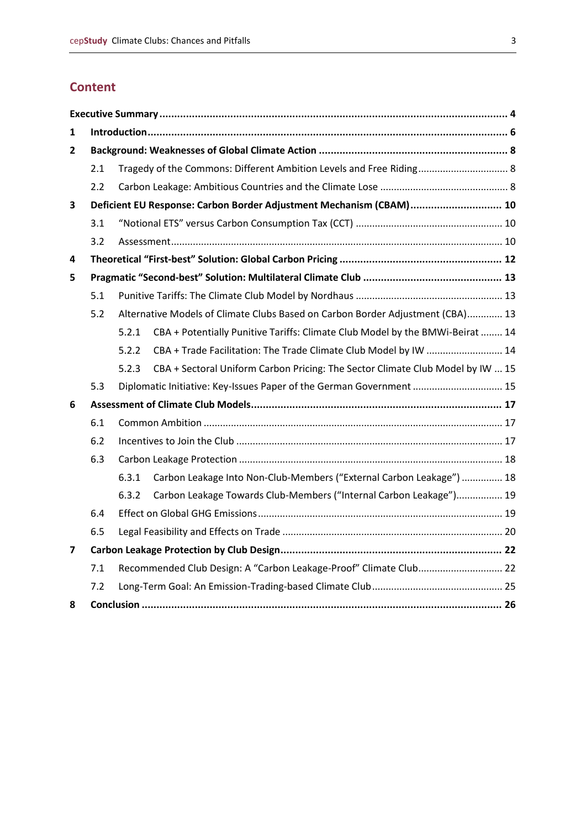# **Content**

| 1            |                                                                     |                                                                                         |  |  |  |  |  |
|--------------|---------------------------------------------------------------------|-----------------------------------------------------------------------------------------|--|--|--|--|--|
| $\mathbf{2}$ |                                                                     |                                                                                         |  |  |  |  |  |
|              | 2.1                                                                 | Tragedy of the Commons: Different Ambition Levels and Free Riding 8                     |  |  |  |  |  |
|              | 2.2                                                                 |                                                                                         |  |  |  |  |  |
| 3            | Deficient EU Response: Carbon Border Adjustment Mechanism (CBAM) 10 |                                                                                         |  |  |  |  |  |
|              | 3.1                                                                 |                                                                                         |  |  |  |  |  |
|              | 3.2                                                                 |                                                                                         |  |  |  |  |  |
| 4            |                                                                     |                                                                                         |  |  |  |  |  |
| 5            |                                                                     |                                                                                         |  |  |  |  |  |
|              | 5.1                                                                 |                                                                                         |  |  |  |  |  |
|              | 5.2                                                                 | Alternative Models of Climate Clubs Based on Carbon Border Adjustment (CBA) 13          |  |  |  |  |  |
|              |                                                                     | CBA + Potentially Punitive Tariffs: Climate Club Model by the BMWi-Beirat  14<br>5.2.1  |  |  |  |  |  |
|              |                                                                     | 5.2.2<br>CBA + Trade Facilitation: The Trade Climate Club Model by IW  14               |  |  |  |  |  |
|              |                                                                     | CBA + Sectoral Uniform Carbon Pricing: The Sector Climate Club Model by IW  15<br>5.2.3 |  |  |  |  |  |
|              | 5.3                                                                 | Diplomatic Initiative: Key-Issues Paper of the German Government  15                    |  |  |  |  |  |
| 6            |                                                                     |                                                                                         |  |  |  |  |  |
|              | 6.1                                                                 |                                                                                         |  |  |  |  |  |
|              | 6.2                                                                 |                                                                                         |  |  |  |  |  |
|              | 6.3                                                                 |                                                                                         |  |  |  |  |  |
|              |                                                                     | Carbon Leakage Into Non-Club-Members ("External Carbon Leakage")  18<br>6.3.1           |  |  |  |  |  |
|              |                                                                     | Carbon Leakage Towards Club-Members ("Internal Carbon Leakage") 19<br>6.3.2             |  |  |  |  |  |
|              | 6.4                                                                 |                                                                                         |  |  |  |  |  |
|              | 6.5                                                                 |                                                                                         |  |  |  |  |  |
| 7            |                                                                     |                                                                                         |  |  |  |  |  |
|              | 7.1                                                                 | Recommended Club Design: A "Carbon Leakage-Proof" Climate Club 22                       |  |  |  |  |  |
|              | 7.2                                                                 |                                                                                         |  |  |  |  |  |
| 8            |                                                                     |                                                                                         |  |  |  |  |  |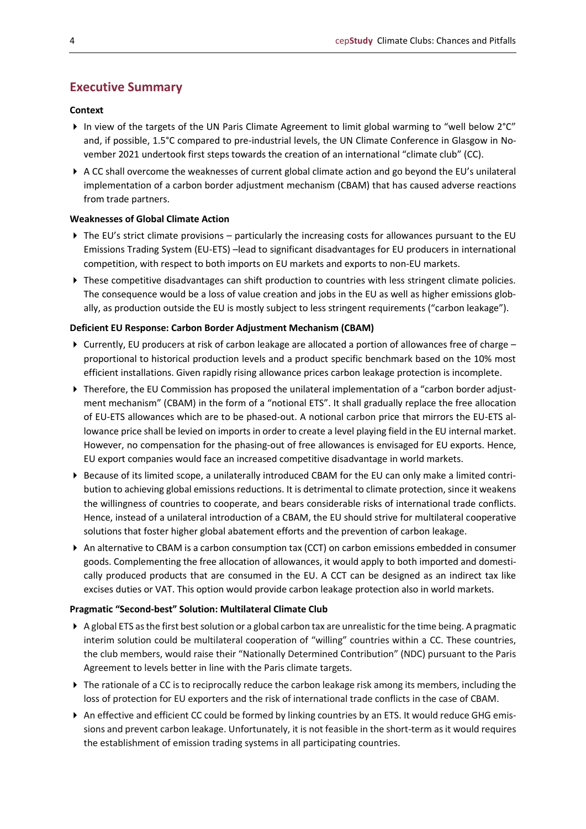# <span id="page-3-0"></span>**Executive Summary**

#### **Context**

- In view of the targets of the UN Paris Climate Agreement to limit global warming to "well below 2°C" and, if possible, 1.5°C compared to pre-industrial levels, the UN Climate Conference in Glasgow in November 2021 undertook first steps towards the creation of an international "climate club" (CC).
- A CC shall overcome the weaknesses of current global climate action and go beyond the EU's unilateral implementation of a carbon border adjustment mechanism (CBAM) that has caused adverse reactions from trade partners.

#### **Weaknesses of Global Climate Action**

- ▶ The EU's strict climate provisions particularly the increasing costs for allowances pursuant to the EU Emissions Trading System (EU-ETS) –lead to significant disadvantages for EU producers in international competition, with respect to both imports on EU markets and exports to non-EU markets.
- These competitive disadvantages can shift production to countries with less stringent climate policies. The consequence would be a loss of value creation and jobs in the EU as well as higher emissions globally, as production outside the EU is mostly subject to less stringent requirements ("carbon leakage").

#### **Deficient EU Response: Carbon Border Adjustment Mechanism (CBAM)**

- $\triangleright$  Currently, EU producers at risk of carbon leakage are allocated a portion of allowances free of charge proportional to historical production levels and a product specific benchmark based on the 10% most efficient installations. Given rapidly rising allowance prices carbon leakage protection is incomplete.
- ▶ Therefore, the EU Commission has proposed the unilateral implementation of a "carbon border adjustment mechanism" (CBAM) in the form of a "notional ETS". It shall gradually replace the free allocation of EU-ETS allowances which are to be phased-out. A notional carbon price that mirrors the EU-ETS allowance price shall be levied on imports in order to create a level playing field in the EU internal market. However, no compensation for the phasing-out of free allowances is envisaged for EU exports. Hence, EU export companies would face an increased competitive disadvantage in world markets.
- Because of its limited scope, a unilaterally introduced CBAM for the EU can only make a limited contribution to achieving global emissions reductions. It is detrimental to climate protection, since it weakens the willingness of countries to cooperate, and bears considerable risks of international trade conflicts. Hence, instead of a unilateral introduction of a CBAM, the EU should strive for multilateral cooperative solutions that foster higher global abatement efforts and the prevention of carbon leakage.
- An alternative to CBAM is a carbon consumption tax (CCT) on carbon emissions embedded in consumer goods. Complementing the free allocation of allowances, it would apply to both imported and domestically produced products that are consumed in the EU. A CCT can be designed as an indirect tax like excises duties or VAT. This option would provide carbon leakage protection also in world markets.

#### **Pragmatic "Second-best" Solution: Multilateral Climate Club**

- A global ETS as the first best solution or a global carbon tax are unrealistic for the time being. A pragmatic interim solution could be multilateral cooperation of "willing" countries within a CC. These countries, the club members, would raise their "Nationally Determined Contribution" (NDC) pursuant to the Paris Agreement to levels better in line with the Paris climate targets.
- The rationale of a CC is to reciprocally reduce the carbon leakage risk among its members, including the loss of protection for EU exporters and the risk of international trade conflicts in the case of CBAM.
- An effective and efficient CC could be formed by linking countries by an ETS. It would reduce GHG emissions and prevent carbon leakage. Unfortunately, it is not feasible in the short-term as it would requires the establishment of emission trading systems in all participating countries.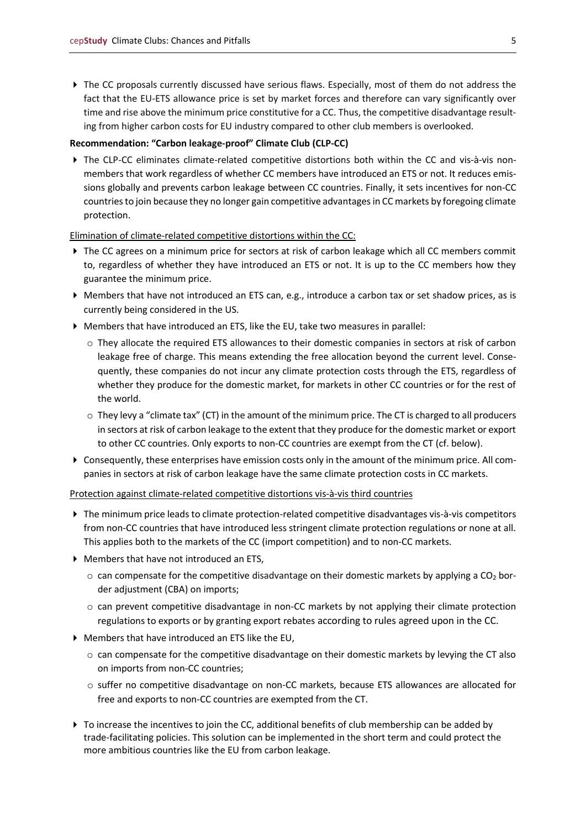▶ The CC proposals currently discussed have serious flaws. Especially, most of them do not address the fact that the EU-ETS allowance price is set by market forces and therefore can vary significantly over time and rise above the minimum price constitutive for a CC. Thus, the competitive disadvantage resulting from higher carbon costs for EU industry compared to other club members is overlooked.

#### **Recommendation: "Carbon leakage-proof" Climate Club (CLP-CC)**

 The CLP-CC eliminates climate-related competitive distortions both within the CC and vis-à-vis nonmembers that work regardless of whether CC members have introduced an ETS or not. It reduces emissions globally and prevents carbon leakage between CC countries. Finally, it sets incentives for non-CC countries to join because they no longer gain competitive advantages in CC markets by foregoing climate protection.

#### Elimination of climate-related competitive distortions within the CC:

- ▶ The CC agrees on a minimum price for sectors at risk of carbon leakage which all CC members commit to, regardless of whether they have introduced an ETS or not. It is up to the CC members how they guarantee the minimum price.
- Members that have not introduced an ETS can, e.g., introduce a carbon tax or set shadow prices, as is currently being considered in the US.
- $\blacktriangleright$  Members that have introduced an ETS, like the EU, take two measures in parallel:
	- o They allocate the required ETS allowances to their domestic companies in sectors at risk of carbon leakage free of charge. This means extending the free allocation beyond the current level. Consequently, these companies do not incur any climate protection costs through the ETS, regardless of whether they produce for the domestic market, for markets in other CC countries or for the rest of the world.
	- $\circ$  They levy a "climate tax" (CT) in the amount of the minimum price. The CT is charged to all producers in sectors at risk of carbon leakage to the extent that they produce for the domestic market or export to other CC countries. Only exports to non-CC countries are exempt from the CT (cf. below).
- Consequently, these enterprises have emission costs only in the amount of the minimum price. All companies in sectors at risk of carbon leakage have the same climate protection costs in CC markets.

#### Protection against climate-related competitive distortions vis-à-vis third countries

- The minimum price leads to climate protection-related competitive disadvantages vis-à-vis competitors from non-CC countries that have introduced less stringent climate protection regulations or none at all. This applies both to the markets of the CC (import competition) and to non-CC markets.
- Members that have not introduced an ETS,
	- $\circ$  can compensate for the competitive disadvantage on their domestic markets by applying a CO<sub>2</sub> border adjustment (CBA) on imports;
	- o can prevent competitive disadvantage in non-CC markets by not applying their climate protection regulations to exports or by granting export rebates according to rules agreed upon in the CC.
- Members that have introduced an ETS like the EU,
	- $\circ$  can compensate for the competitive disadvantage on their domestic markets by levying the CT also on imports from non-CC countries;
	- o suffer no competitive disadvantage on non-CC markets, because ETS allowances are allocated for free and exports to non-CC countries are exempted from the CT.
- ▶ To increase the incentives to join the CC, additional benefits of club membership can be added by trade-facilitating policies. This solution can be implemented in the short term and could protect the more ambitious countries like the EU from carbon leakage.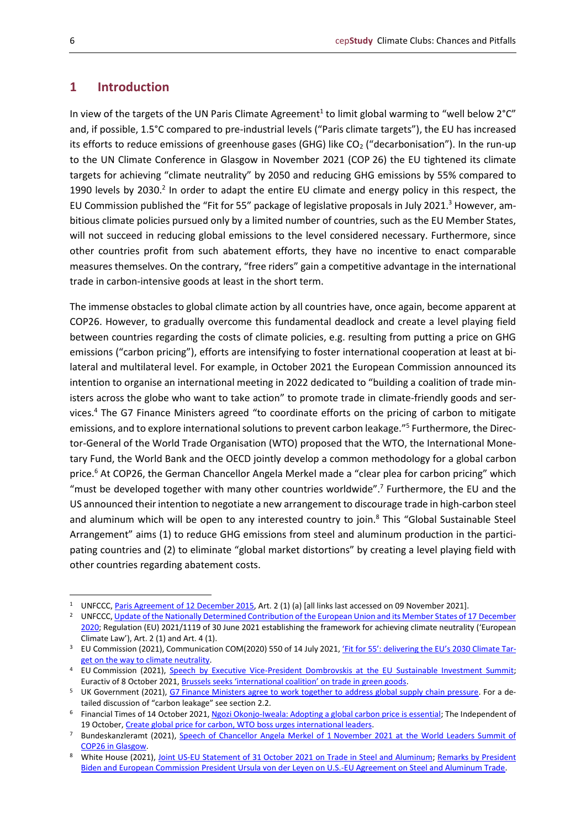## <span id="page-5-0"></span>**1 Introduction**

In view of the targets of the UN Paris Climate Agreement<sup>1</sup> to limit global warming to "well below 2°C" and, if possible, 1.5°C compared to pre-industrial levels ("Paris climate targets"), the EU has increased its efforts to reduce emissions of greenhouse gases (GHG) like  $CO<sub>2</sub>$  ("decarbonisation"). In the run-up to the UN Climate Conference in Glasgow in November 2021 (COP 26) the EU tightened its climate targets for achieving "climate neutrality" by 2050 and reducing GHG emissions by 55% compared to 1990 levels by 2030.<sup>2</sup> In order to adapt the entire EU climate and energy policy in this respect, the EU Commission published the "Fit for 55" package of legislative proposals in July 2021.<sup>3</sup> However, ambitious climate policies pursued only by a limited number of countries, such as the EU Member States, will not succeed in reducing global emissions to the level considered necessary. Furthermore, since other countries profit from such abatement efforts, they have no incentive to enact comparable measures themselves. On the contrary, "free riders" gain a competitive advantage in the international trade in carbon-intensive goods at least in the short term.

The immense obstacles to global climate action by all countries have, once again, become apparent at COP26. However, to gradually overcome this fundamental deadlock and create a level playing field between countries regarding the costs of climate policies, e.g. resulting from putting a price on GHG emissions ("carbon pricing"), efforts are intensifying to foster international cooperation at least at bilateral and multilateral level. For example, in October 2021 the European Commission announced its intention to organise an international meeting in 2022 dedicated to "building a coalition of trade ministers across the globe who want to take action" to promote trade in climate-friendly goods and services.<sup>4</sup> The G7 Finance Ministers agreed "to coordinate efforts on the pricing of carbon to mitigate emissions, and to explore international solutions to prevent carbon leakage."<sup>5</sup> Furthermore, the Director-General of the World Trade Organisation (WTO) proposed that the WTO, the International Monetary Fund, the World Bank and the OECD jointly develop a common methodology for a global carbon price. <sup>6</sup> At COP26, the German Chancellor Angela Merkel made a "clear plea for carbon pricing" which "must be developed together with many other countries worldwide".<sup>7</sup> Furthermore, the EU and the US announced their intention to negotiate a new arrangement to discourage trade in high-carbon steel and aluminum which will be open to any interested country to join.<sup>8</sup> This "Global Sustainable Steel Arrangement" aims (1) to reduce GHG emissions from steel and aluminum production in the participating countries and (2) to eliminate "global market distortions" by creating a level playing field with other countries regarding abatement costs.

<sup>1</sup> UNFCCC, [Paris Agreement of 12](https://unfccc.int/sites/default/files/english_paris_agreement.pdf) December 2015, Art. 2 (1) (a) [all links last accessed on 09 November 2021].

<sup>&</sup>lt;sup>2</sup> UNFCCC[, Update of the Nationally Determined Contribution of the European Union and its Member States of 17](https://www4.unfccc.int/sites/ndcstaging/PublishedDocuments/European%20Union%20First/EU_NDC_Submission_December%202020.pdf) December [2020;](https://www4.unfccc.int/sites/ndcstaging/PublishedDocuments/European%20Union%20First/EU_NDC_Submission_December%202020.pdf) Regulation (EU) 2021/1119 of 30 June 2021 establishing the framework for achieving climate neutrality ('European Climate Law'), Art. 2 (1) and Art. 4 (1).

<sup>&</sup>lt;sup>3</sup> EU Commission (2021), Communication COM(2020) 550 of 14 July 2021, 'Fit for 55': delivering the EU'[s 2030 Climate Tar](https://eur-lex.europa.eu/legal-content/EN/TXT/PDF/?uri=CELEX:52021DC0550&from=EN)[get on the way to climate neutrality.](https://eur-lex.europa.eu/legal-content/EN/TXT/PDF/?uri=CELEX:52021DC0550&from=EN)

<sup>4</sup> EU Commission (2021), [Speech by Executive Vice-President Dombrovskis at the EU](https://ec.europa.eu/commission/commissioners/2019-2024/dombrovskis/announcements/speech-executive-vice-president-dombrovskis-eu-sustainable-investment-summit_en) Sustainable Investment Summit; Euractiv of 8 October 2021, [Brussels seeks 'international coalition' on trade in green goods](https://www.euractiv.com/section/energy-environment/news/brussels-seeks-international-coalition-on-trade-in-green-goods/?utm_source=CP+Daily&utm_campaign=c7e7a51e67-CPdaily08102021&utm_medium=email&utm_term=0_a9d8834f72-c7e7a51e67-110292129).

<sup>&</sup>lt;sup>5</sup> UK Government (2021), G7 [Finance Ministers agree to work together to address global supply chain pressure.](https://www.gov.uk/government/news/g7-finance-ministers-agree-to-work-together-to-address-global-supply-chain-pressures) For a detailed discussion of "carbon leakage" see section 2.2.

<sup>&</sup>lt;sup>6</sup> Financial Times of 14 October 2021[, Ngozi Okonjo-Iweala: Adopting a global carbon price is essential;](https://www.ft.com/content/b0bcc93c-c6d6-475e-bf32-0d10f71ef393) The Independent of 19 October[, Create global price for carbon, WTO boss urges international leaders.](https://www.independent.co.uk/business/create-global-price-for-carbon-wto-boss-urges-international-leaders-b1941029.html)

<sup>7</sup> Bundeskanzleramt (2021), Speech of Chancellor Angela Merkel of 1 [November 2021 at the World Leaders Summit of](https://www.bundeskanzlerin.de/bkin-de/aktuelles/rede-von-bundeskanzlerin-merkel-zum-world-leaders-summit-der-26-konferenz-der-unfccc-vertragsparteien-cop26-am-1-november-2021-in-glasgow-1974332)  [COP26 in Glasgow.](https://www.bundeskanzlerin.de/bkin-de/aktuelles/rede-von-bundeskanzlerin-merkel-zum-world-leaders-summit-der-26-konferenz-der-unfccc-vertragsparteien-cop26-am-1-november-2021-in-glasgow-1974332)

<sup>8</sup> White House (2021), Joint US-EU Statement of 31 October [2021 on Trade in Steel and Aluminum;](https://www.whitehouse.gov/briefing-room/statements-releases/2021/10/31/joint-us-eu-statement-on-trade-in-steel-and-aluminum/) [Remarks by President](https://www.whitehouse.gov/briefing-room/speeches-remarks/2021/10/31/remarks-by-president-biden-and-european-commission-president-ursula-von-der-leyen-on-u-s-eu-agreement-on-steel-and-aluminum-trade/)  [Biden and European Commission President Ursula von der Leyen on U.S.-EU Agreement on Steel and Aluminum Trade.](https://www.whitehouse.gov/briefing-room/speeches-remarks/2021/10/31/remarks-by-president-biden-and-european-commission-president-ursula-von-der-leyen-on-u-s-eu-agreement-on-steel-and-aluminum-trade/)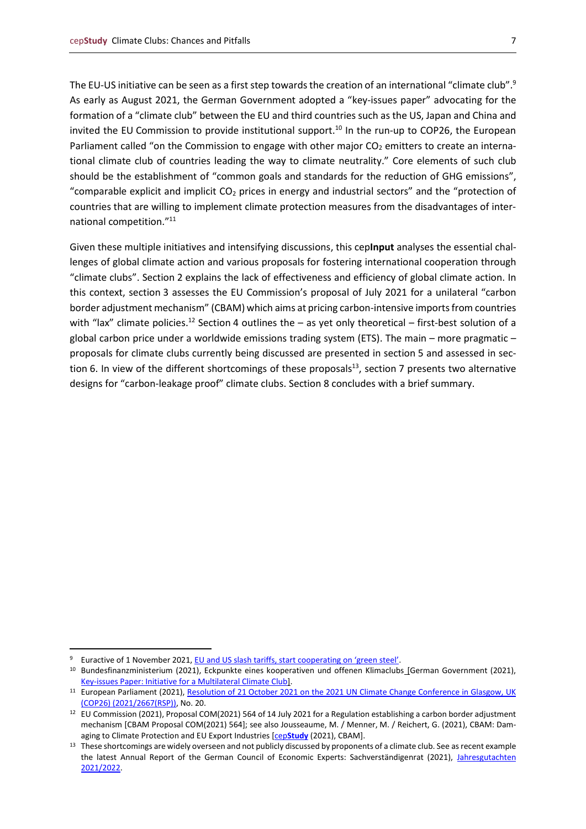The EU-US initiative can be seen as a first step towards the creation of an international "climate club".<sup>9</sup> As early as August 2021, the German Government adopted a "key-issues paper" advocating for the formation of a "climate club" between the EU and third countries such as the US, Japan and China and invited the EU Commission to provide institutional support.<sup>10</sup> In the run-up to COP26, the European Parliament called "on the Commission to engage with other major  $CO<sub>2</sub>$  emitters to create an international climate club of countries leading the way to climate neutrality." Core elements of such club should be the establishment of "common goals and standards for the reduction of GHG emissions", "comparable explicit and implicit  $CO<sub>2</sub>$  prices in energy and industrial sectors" and the "protection of countries that are willing to implement climate protection measures from the disadvantages of international competition."<sup>11</sup>

Given these multiple initiatives and intensifying discussions, this cep**Input** analyses the essential challenges of global climate action and various proposals for fostering international cooperation through "climate clubs". Section 2 explains the lack of effectiveness and efficiency of global climate action. In this context, section 3 assesses the EU Commission's proposal of July 2021 for a unilateral "carbon border adjustment mechanism" (CBAM) which aims at pricing carbon-intensive imports from countries with "lax" climate policies.<sup>12</sup> Section 4 outlines the  $-$  as yet only theoretical  $-$  first-best solution of a global carbon price under a worldwide emissions trading system (ETS). The main – more pragmatic – proposals for climate clubs currently being discussed are presented in section 5 and assessed in section 6. In view of the different shortcomings of these proposals<sup>13</sup>, section 7 presents two alternative designs for "carbon-leakage proof" climate clubs. Section 8 concludes with a brief summary.

<sup>&</sup>lt;sup>9</sup> Euractive of 1 November 2021, [EU and US slash tariffs, start cooperating on 'green steel'](https://www.euractiv.com/section/economy-jobs/news/eu-and-us-slash-tariffs-start-cooperating-on-green-steel/).

<sup>&</sup>lt;sup>10</sup> Bundesfinanzministerium (2021), Eckpunkte eines kooperativen und offenen Klimaclubs [German Government (2021), [Key-issues Paper: Initiative for a Multilateral Climate Club\]](https://www.bundesfinanzministerium.de/Content/EN/Pressemitteilungen/2021/20210825-german-government-wants-to-establish-an-international-climate-club.html).

<sup>11</sup> European Parliament (2021), Resolution of 21 October 2021 on the 2021 UN Climate Change Conference in Glasgow, UK [\(COP26\) \(2021/2667\(RSP\)\),](https://www.europarl.europa.eu/doceo/document/TA-9-2021-0437_EN.html) No. 20.

 $12$  EU Commission (2021), Proposal COM(2021) 564 of 14 July 2021 for a Regulation establishing a carbon border adjustment mechanism [CBAM Proposal COM(2021) 564]; see also Jousseaume, M. / Menner, M. / Reichert, G. (2021), CBAM: Damaging to Climate Protection and EU Export Industries [cep**[Study](https://www.cep.eu/en/eu-topics/details/cep/cbam-damaging-to-climate-protection-and-eu-export-industries-cepstudy.html)** (2021), CBAM].

<sup>&</sup>lt;sup>13</sup> These shortcomings are widely overseen and not publicly discussed by proponents of a climate club. See as recent example the latest Annual Report of the German Council of Economic Experts: Sachverständigenrat (2021), Jahresgutachten [2021/2022.](https://www.sachverstaendigenrat-wirtschaft.de/jahresgutachten-2021.html?returnUrl=%2Findex.html&cHash=802bf8bd4b2c5f20a663f2407a0cea48)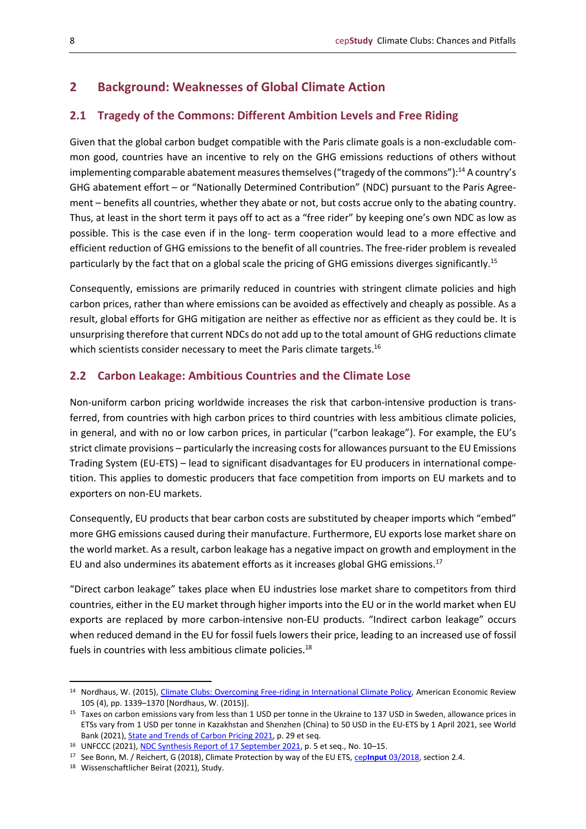# <span id="page-7-0"></span>**2 Background: Weaknesses of Global Climate Action**

# <span id="page-7-1"></span>**2.1 Tragedy of the Commons: Different Ambition Levels and Free Riding**

Given that the global carbon budget compatible with the Paris climate goals is a non-excludable common good, countries have an incentive to rely on the GHG emissions reductions of others without implementing comparable abatement measures themselves ("tragedy of the commons"):<sup>14</sup> A country's GHG abatement effort – or "Nationally Determined Contribution" (NDC) pursuant to the Paris Agreement – benefits all countries, whether they abate or not, but costs accrue only to the abating country. Thus, at least in the short term it pays off to act as a "free rider" by keeping one's own NDC as low as possible. This is the case even if in the long- term cooperation would lead to a more effective and efficient reduction of GHG emissions to the benefit of all countries. The free-rider problem is revealed particularly by the fact that on a global scale the pricing of GHG emissions diverges significantly.<sup>15</sup>

Consequently, emissions are primarily reduced in countries with stringent climate policies and high carbon prices, rather than where emissions can be avoided as effectively and cheaply as possible. As a result, global efforts for GHG mitigation are neither as effective nor as efficient as they could be. It is unsurprising therefore that current NDCs do not add up to the total amount of GHG reductions climate which scientists consider necessary to meet the Paris climate targets.<sup>16</sup>

## <span id="page-7-2"></span>**2.2 Carbon Leakage: Ambitious Countries and the Climate Lose**

Non-uniform carbon pricing worldwide increases the risk that carbon-intensive production is transferred, from countries with high carbon prices to third countries with less ambitious climate policies, in general, and with no or low carbon prices, in particular ("carbon leakage"). For example, the EU's strict climate provisions – particularly the increasing costs for allowances pursuant to the EU Emissions Trading System (EU-ETS) – lead to significant disadvantages for EU producers in international competition. This applies to domestic producers that face competition from imports on EU markets and to exporters on non-EU markets.

Consequently, EU products that bear carbon costs are substituted by cheaper imports which "embed" more GHG emissions caused during their manufacture. Furthermore, EU exports lose market share on the world market. As a result, carbon leakage has a negative impact on growth and employment in the EU and also undermines its abatement efforts as it increases global GHG emissions.<sup>17</sup>

"Direct carbon leakage" takes place when EU industries lose market share to competitors from third countries, either in the EU market through higher imports into the EU or in the world market when EU exports are replaced by more carbon-intensive non-EU products. "Indirect carbon leakage" occurs when reduced demand in the EU for fossil fuels lowers their price, leading to an increased use of fossil fuels in countries with less ambitious climate policies.<sup>18</sup>

<sup>14</sup> Nordhaus, W. (2015), [Climate Clubs: Overcoming Free-riding in International Climate Policy,](https://pubs.aeaweb.org/doi/pdf/10.1257/aer.15000001) American Economic Review 105 (4), pp. 1339–1370 [Nordhaus, W. (2015)].

<sup>&</sup>lt;sup>15</sup> Taxes on carbon emissions vary from less than 1 USD per tonne in the Ukraine to 137 USD in Sweden, allowance prices in ETSs vary from 1 USD per tonne in Kazakhstan and Shenzhen (China) to 50 USD in the EU-ETS by 1 April 2021, see World Bank (2021)[, State and Trends of Carbon Pricing 2021,](https://openknowledge.worldbank.org/handle/10986/35620) p. 29 et seq.

<sup>16</sup> UNFCCC (2021)[, NDC Synthesis Report of 17](https://unfccc.int/process-and-meetings/the-paris-agreement/nationally-determined-contributions-ndcs/nationally-determined-contributions-ndcs/ndc-synthesis-report) September 2021, p. 5 et seq., No. 10-15.

<sup>17</sup> See Bonn, M. / Reichert, G (2018), Climate Protection by way of the EU ETS, cep**Input** [03/2018,](https://www.cep.eu/en/eu-topics/details/cep/climate-protection-by-way-of-the-eu-ets.html) section 2.4.

<sup>18</sup> Wissenschaftlicher Beirat (2021), Study.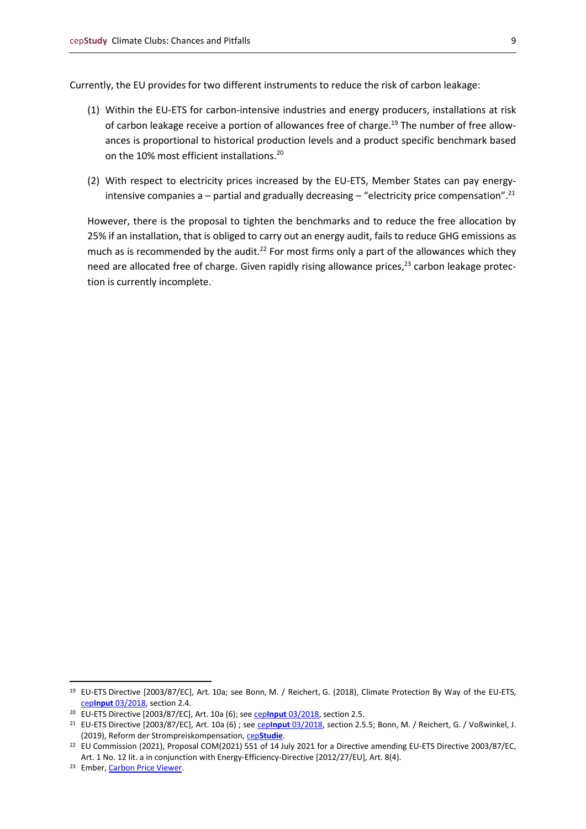Currently, the EU provides for two different instruments to reduce the risk of carbon leakage:

- (1) Within the EU-ETS for carbon-intensive industries and energy producers, installations at risk of carbon leakage receive a portion of allowances free of charge.<sup>19</sup> The number of free allowances is proportional to historical production levels and a product specific benchmark based on the 10% most efficient installations.<sup>20</sup>
- (2) With respect to electricity prices increased by the EU-ETS, Member States can pay energyintensive companies a – partial and gradually decreasing – "electricity price compensation".<sup>21</sup>

However, there is the proposal to tighten the benchmarks and to reduce the free allocation by 25% if an installation, that is obliged to carry out an energy audit, fails to reduce GHG emissions as much as is recommended by the audit.<sup>22</sup> For most firms only a part of the allowances which they need are allocated free of charge. Given rapidly rising allowance prices, $^{23}$  carbon leakage protection is currently incomplete. .

<sup>19</sup> EU-ETS Directive [2003/87/EC], Art. 10a; see Bonn, M. / Reichert, G. (2018), Climate Protection By Way of the EU-ETS, cep**Input** [03/2018,](https://www.cep.eu/en/eu-topics/details/cep/climate-protection-by-way-of-the-eu-ets.html) section 2.4.

<sup>20</sup> EU-ETS Directive [2003/87/EC], Art. 10a (6); see cep**Input** [03/2018,](https://www.cep.eu/en/eu-topics/details/cep/climate-protection-by-way-of-the-eu-ets.html) section 2.5.

<sup>21</sup> EU-ETS Directive [2003/87/EC], Art. 10a (6) ; see cep**Input** [03/2018,](https://www.cep.eu/en/eu-topics/details/cep/climate-protection-by-way-of-the-eu-ets.html) section 2.5.5; Bonn, M. / Reichert, G. / Voßwinkel, J. (2019), Reform der Strompreiskompensation, cep**[Studie](https://www.cep.eu/eu-themen/details/cep/reform-der-strompreiskompensation.html)**.

<sup>&</sup>lt;sup>22</sup> EU Commission (2021), Proposal COM(2021) 551 of 14 July 2021 for a Directive amending EU-ETS Directive 2003/87/EC, Art. 1 No. 12 lit. a in conjunction with Energy-Efficiency-Directive [2012/27/EU], Art. 8(4).

<sup>23</sup> Ember[, Carbon Price Viewer.](https://ember-climate.org/data/carbon-price-viewer/)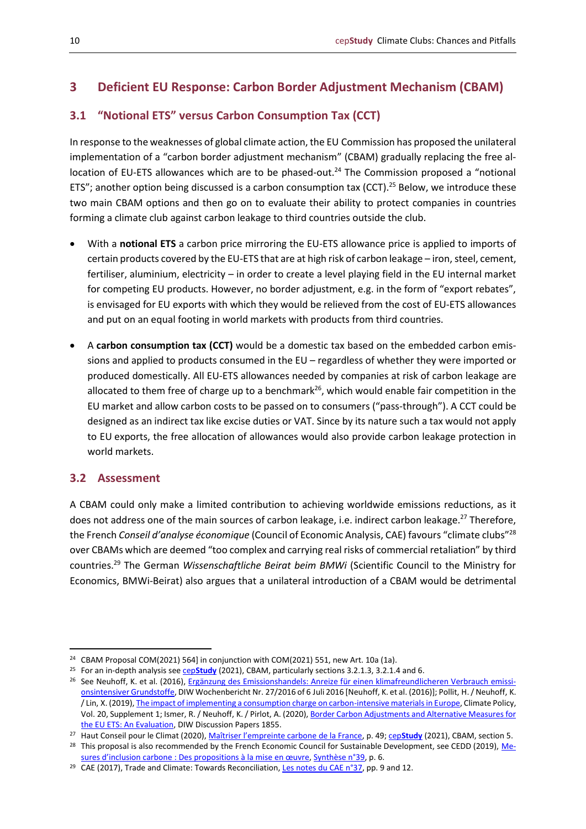# <span id="page-9-0"></span>**3 Deficient EU Response: Carbon Border Adjustment Mechanism (CBAM)**

# <span id="page-9-1"></span>**3.1 "Notional ETS" versus Carbon Consumption Tax (CCT)**

In response to the weaknesses of global climate action, the EU Commission has proposed the unilateral implementation of a "carbon border adjustment mechanism" (CBAM) gradually replacing the free allocation of EU-ETS allowances which are to be phased-out.<sup>24</sup> The Commission proposed a "notional ETS"; another option being discussed is a carbon consumption tax (CCT).<sup>25</sup> Below, we introduce these two main CBAM options and then go on to evaluate their ability to protect companies in countries forming a climate club against carbon leakage to third countries outside the club.

- With a **notional ETS** a carbon price mirroring the EU-ETS allowance price is applied to imports of certain products covered by the EU-ETS that are at high risk of carbon leakage – iron, steel, cement, fertiliser, aluminium, electricity – in order to create a level playing field in the EU internal market for competing EU products. However, no border adjustment, e.g. in the form of "export rebates", is envisaged for EU exports with which they would be relieved from the cost of EU-ETS allowances and put on an equal footing in world markets with products from third countries.
- A **carbon consumption tax (CCT)** would be a domestic tax based on the embedded carbon emissions and applied to products consumed in the EU – regardless of whether they were imported or produced domestically. All EU-ETS allowances needed by companies at risk of carbon leakage are allocated to them free of charge up to a benchmark<sup>26</sup>, which would enable fair competition in the EU market and allow carbon costs to be passed on to consumers ("pass-through"). A CCT could be designed as an indirect tax like excise duties or VAT. Since by its nature such a tax would not apply to EU exports, the free allocation of allowances would also provide carbon leakage protection in world markets.

#### <span id="page-9-2"></span>**3.2 Assessment**

A CBAM could only make a limited contribution to achieving worldwide emissions reductions, as it does not address one of the main sources of carbon leakage, i.e. indirect carbon leakage.<sup>27</sup> Therefore, the French *Conseil d'analyse économique* (Council of Economic Analysis, CAE) favours "climate clubs"<sup>28</sup> over CBAMs which are deemed "too complex and carrying real risks of commercial retaliation" by third countries. <sup>29</sup> The German *Wissenschaftliche Beirat beim BMWi* (Scientific Council to the Ministry for Economics, BMWi-Beirat) also argues that a unilateral introduction of a CBAM would be detrimental

<sup>&</sup>lt;sup>24</sup> CBAM Proposal COM(2021) 564] in conjunction with COM(2021) 551, new Art. 10a (1a).

<sup>&</sup>lt;sup>25</sup> For an in-depth analysis see cep**[Study](https://www.cep.eu/en/eu-topics/details/cep/cbam-damaging-to-climate-protection-and-eu-export-industries-cepstudy.html)** (2021), CBAM, particularly sections 3.2.1.3, 3.2.1.4 and 6.

<sup>&</sup>lt;sup>26</sup> See Neuhoff, K. et al. (2016), [Ergänzung des Emissionshandels: Anreize für einen klimafreundlicheren Verbrauch emissi](https://www.diw.de/de/diw_01.c.537883.de/publikationen/wochenberichte/2016_27_1/ergaenzung_des_emissionshandels__anreize_fuer_einen_klimafreundlicheren_verbrauch_emissionsintensiver_grundstoffe.html)[onsintensiver Grundstoffe,](https://www.diw.de/de/diw_01.c.537883.de/publikationen/wochenberichte/2016_27_1/ergaenzung_des_emissionshandels__anreize_fuer_einen_klimafreundlicheren_verbrauch_emissionsintensiver_grundstoffe.html) DIW Wochenbericht Nr. 27/2016 of 6 Juli 2016 [Neuhoff, K. et al. (2016)]; Pollit, H. / Neuhoff, K. / Lin, X. (2019), [The impact of implementing a consumption charge on carbon-intensive materials in Europe,](https://www.tandfonline.com/doi/full/10.1080/14693062.2019.1605969) Climate Policy, Vol. 20, Supplement 1; Ismer, R. / Neuhoff, K. / Pirlot, A. (2020)[, Border Carbon Adjustments and Alternative Measures for](https://www.diw.de/de/diw_01.c.743700.de/publikationen/diskussionspapiere/2020_1855/border_carbon_adjustments_and_alternative_measures_for_the_eu_ets__an_evaluation.html)  [the EU ETS: An Evaluation,](https://www.diw.de/de/diw_01.c.743700.de/publikationen/diskussionspapiere/2020_1855/border_carbon_adjustments_and_alternative_measures_for_the_eu_ets__an_evaluation.html) DIW Discussion Papers 1855.

<sup>&</sup>lt;sup>27</sup> Haut Conseil pour le Climat (2020), [Maîtriser l'empreinte carbone de la France](https://www.hautconseilclimat.fr/wp-content/uploads/2020/10/hcc_rapport_maitriser-lempreinte-carbone-de-la-france-1.pdf), p. 49; cep[Study](https://www.cep.eu/en/eu-topics/details/cep/cbam-damaging-to-climate-protection-and-eu-export-industries-cepstudy.html) (2021), CBAM, section 5.

<sup>&</sup>lt;sup>28</sup> This proposal is also recommended by the French Economic Council for Sustainable Development, see CEDD (2019), [Me](https://www.ecologie.gouv.fr/sites/default/files/CEDD%20-%20S%20039.pdf)sures d'inclusion carbone [: Des propositions à la mise](https://www.ecologie.gouv.fr/sites/default/files/CEDD%20-%20S%20039.pdf) en œuvre, Synthèse n°39, p. 6.

<sup>&</sup>lt;sup>29</sup> CAE (2017), Trade and Climate: Towards Reconciliation, [Les notes du CAE n°37,](https://www.cae-eco.fr/en/Commerce-et-climat-pour-une-reconciliation) pp. 9 and 12.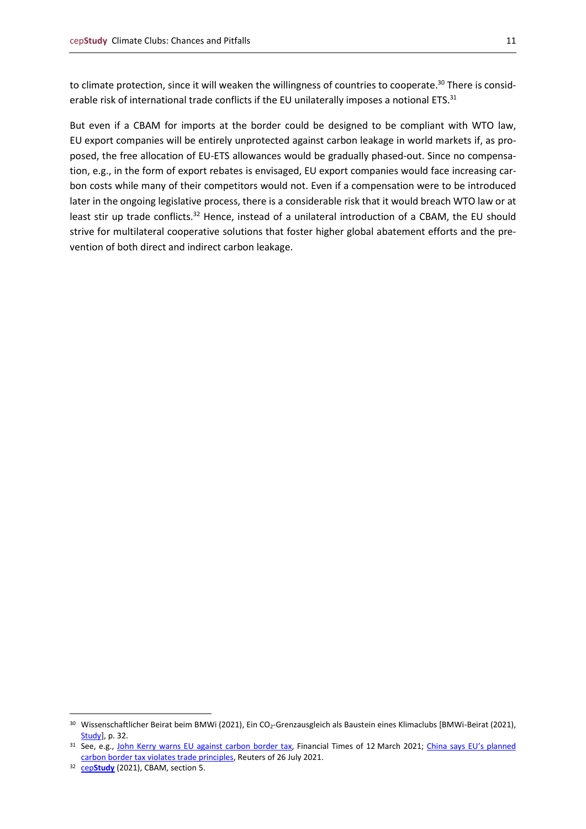to climate protection, since it will weaken the willingness of countries to cooperate.<sup>30</sup> There is considerable risk of international trade conflicts if the EU unilaterally imposes a notional ETS.<sup>31</sup>

But even if a CBAM for imports at the border could be designed to be compliant with WTO law, EU export companies will be entirely unprotected against carbon leakage in world markets if, as proposed, the free allocation of EU-ETS allowances would be gradually phased-out. Since no compensation, e.g., in the form of export rebates is envisaged, EU export companies would face increasing carbon costs while many of their competitors would not. Even if a compensation were to be introduced later in the ongoing legislative process, there is a considerable risk that it would breach WTO law or at least stir up trade conflicts.<sup>32</sup> Hence, instead of a unilateral introduction of a CBAM, the EU should strive for multilateral cooperative solutions that foster higher global abatement efforts and the prevention of both direct and indirect carbon leakage.

<sup>&</sup>lt;sup>30</sup> Wissenschaftlicher Beirat beim BMWi (2021), Ein CO<sub>2</sub>-Grenzausgleich als Baustein eines Klimaclubs [BMWi-Beirat (2021), [Study\]](https://www.bmwi.de/Redaktion/DE/Publikationen/Ministerium/Veroeffentlichung-Wissenschaftlicher-Beirat/gutachten-co2-grenzausgleich.html), p. 32.

<sup>31</sup> See, e.g., [John Kerry warns EU against carbon border tax,](https://www.ft.com/content/3d00d3c8-202d-4765-b0ae-e2b212bbca98) Financial Times of 12 March 2021; [China says EU](https://www.reuters.com/business/sustainable-business/china-says-ecs-carbon-border-tax-is-expanding-climate-issues-trade-2021-07-26/)'s planned [carbon border tax violates trade principles,](https://www.reuters.com/business/sustainable-business/china-says-ecs-carbon-border-tax-is-expanding-climate-issues-trade-2021-07-26/) Reuters of 26 July 2021.

<sup>32</sup> cep**[Study](https://www.cep.eu/en/eu-topics/details/cep/cbam-damaging-to-climate-protection-and-eu-export-industries-cepstudy.html)** (2021), CBAM, section 5.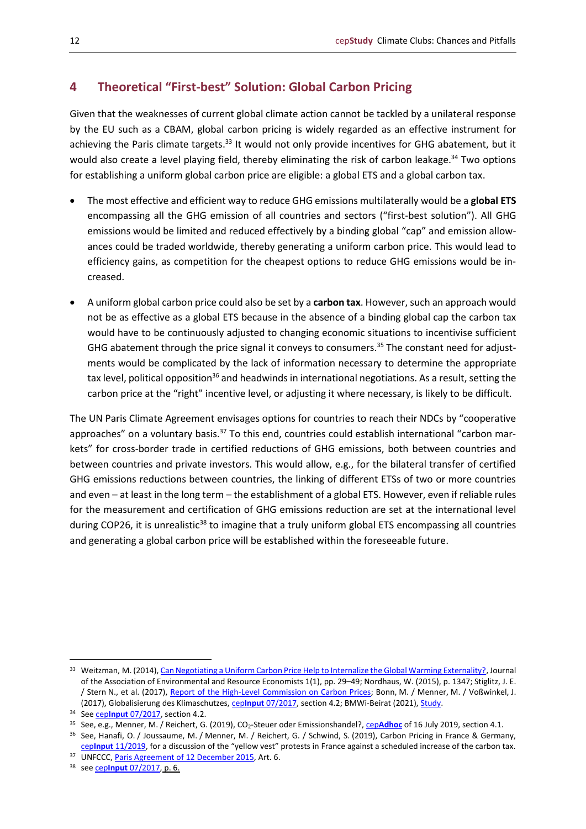# <span id="page-11-0"></span>**4 Theoretical "First-best" Solution: Global Carbon Pricing**

Given that the weaknesses of current global climate action cannot be tackled by a unilateral response by the EU such as a CBAM, global carbon pricing is widely regarded as an effective instrument for achieving the Paris climate targets.<sup>33</sup> It would not only provide incentives for GHG abatement, but it would also create a level playing field, thereby eliminating the risk of carbon leakage.<sup>34</sup> Two options for establishing a uniform global carbon price are eligible: a global ETS and a global carbon tax.

- The most effective and efficient way to reduce GHG emissions multilaterally would be a **global ETS** encompassing all the GHG emission of all countries and sectors ("first-best solution"). All GHG emissions would be limited and reduced effectively by a binding global "cap" and emission allowances could be traded worldwide, thereby generating a uniform carbon price. This would lead to efficiency gains, as competition for the cheapest options to reduce GHG emissions would be increased.
- A uniform global carbon price could also be set by a **carbon tax**. However, such an approach would not be as effective as a global ETS because in the absence of a binding global cap the carbon tax would have to be continuously adjusted to changing economic situations to incentivise sufficient GHG abatement through the price signal it conveys to consumers.<sup>35</sup> The constant need for adjustments would be complicated by the lack of information necessary to determine the appropriate tax level, political opposition<sup>36</sup> and headwinds in international negotiations. As a result, setting the carbon price at the "right" incentive level, or adjusting it where necessary, is likely to be difficult.

The UN Paris Climate Agreement envisages options for countries to reach their NDCs by "cooperative approaches" on a voluntary basis. $37$  To this end, countries could establish international "carbon markets" for cross-border trade in certified reductions of GHG emissions, both between countries and between countries and private investors. This would allow, e.g., for the bilateral transfer of certified GHG emissions reductions between countries, the linking of different ETSs of two or more countries and even – at least in the long term – the establishment of a global ETS. However, even if reliable rules for the measurement and certification of GHG emissions reduction are set at the international level during COP26, it is unrealistic<sup>38</sup> to imagine that a truly uniform global ETS encompassing all countries and generating a global carbon price will be established within the foreseeable future.

<sup>33</sup> Weitzman, M. (2014)[, Can Negotiating a Uniform Carbon Price Help to Internalize the Global Warming Externality?,](https://www.nber.org/system/files/working_papers/w19644/w19644.pdf) Journal of the Association of Environmental and Resource Economists 1(1), pp. 29–49; Nordhaus, W. (2015), p. 1347; Stiglitz, J. E. / Stern N., et al. (2017), [Report of the High-Level Commission on Carbon Prices;](https://www.carbonpricingleadership.org/report-of-the-highlevel-commission-on-carbon-prices/) Bonn, M. / Menner, M. / Voßwinkel, J. (2017), Globalisierung des Klimaschutzes, cep**Input** [07/2017,](https://www.cep.eu/eu-themen/details/cep/globalisierung-des-klimaschutzes.html) section 4.2; BMWi-Beirat (2021)[, Study.](https://www.bmwi.de/Redaktion/DE/Publikationen/Ministerium/Veroeffentlichung-Wissenschaftlicher-Beirat/gutachten-co2-grenzausgleich.html)

<sup>34</sup> See cep**Input** [07/2017,](https://www.cep.eu/eu-themen/details/cep/globalisierung-des-klimaschutzes.html) section 4.2.

<sup>&</sup>lt;sup>35</sup> See, e.g., Menner, M. / Reichert, G. (2019), CO<sub>2</sub>-Steuer oder Emissionshandel?, cep[Adhoc](https://www.cep.eu/en/eu-topics/details/cep/co2-steuer-oder-emissionshandel.html)</u> of 16 July 2019, section 4.1.

<sup>36</sup> See, Hanafi, O. / Joussaume, M. / Menner, M. / Reichert, G. / Schwind, S. (2019), Carbon Pricing in France & Germany, cep**Input** [11/2019,](https://www.cep.eu/fileadmin/user_upload/cep.eu/Studien/cepInput_Carbon_Pricing_in_France___Germany.pdf) for a discussion of the "yellow vest" protests in France against a scheduled increase of the carbon tax.

<sup>37</sup> UNFCCC, [Paris Agreement of 12](https://unfccc.int/sites/default/files/english_paris_agreement.pdf) December 2015, Art. 6.

<sup>38</sup> see cep**Input** [07/2017,](https://www.cep.eu/en/eu-topics/details/cep/globalisierung-des-klimaschutzes.html) p. 6.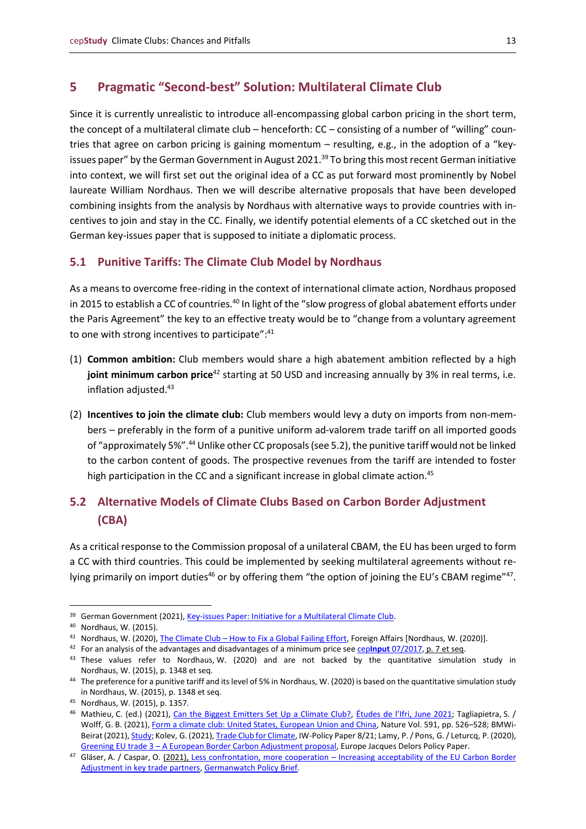### <span id="page-12-0"></span>**5 Pragmatic "Second-best" Solution: Multilateral Climate Club**

Since it is currently unrealistic to introduce all-encompassing global carbon pricing in the short term, the concept of a multilateral climate club – henceforth: CC – consisting of a number of "willing" countries that agree on carbon pricing is gaining momentum – resulting, e.g., in the adoption of a "keyissues paper" by the German Government in August 2021.<sup>39</sup> To bring this most recent German initiative into context, we will first set out the original idea of a CC as put forward most prominently by Nobel laureate William Nordhaus. Then we will describe alternative proposals that have been developed combining insights from the analysis by Nordhaus with alternative ways to provide countries with incentives to join and stay in the CC. Finally, we identify potential elements of a CC sketched out in the German key-issues paper that is supposed to initiate a diplomatic process.

#### <span id="page-12-1"></span>**5.1 Punitive Tariffs: The Climate Club Model by Nordhaus**

As a means to overcome free-riding in the context of international climate action, Nordhaus proposed in 2015 to establish a CC of countries.<sup>40</sup> In light of the "slow progress of global abatement efforts under the Paris Agreement" the key to an effective treaty would be to "change from a voluntary agreement to one with strong incentives to participate":<sup>41</sup>

- (1) **Common ambition:** Club members would share a high abatement ambition reflected by a high **joint minimum carbon price**<sup>42</sup> starting at 50 USD and increasing annually by 3% in real terms, i.e. inflation adjusted.<sup>43</sup>
- (2) **Incentives to join the climate club:** Club members would levy a duty on imports from non-members – preferably in the form of a punitive uniform ad-valorem trade tariff on all imported goods of "approximately 5%".<sup>44</sup> Unlike other CC proposals (see 5.2), the punitive tariff would not be linked to the carbon content of goods. The prospective revenues from the tariff are intended to foster high participation in the CC and a significant increase in global climate action.<sup>45</sup>

# <span id="page-12-2"></span>**5.2 Alternative Models of Climate Clubs Based on Carbon Border Adjustment (CBA)**

As a critical response to the Commission proposal of a unilateral CBAM, the EU has been urged to form a CC with third countries. This could be implemented by seeking multilateral agreements without relying primarily on import duties<sup>46</sup> or by offering them "the option of joining the EU's CBAM regime"<sup>47</sup>.

<sup>&</sup>lt;sup>39</sup> German Government (2021), [Key-issues Paper: Initiative for a Multilateral Climate Club.](https://www.bundesfinanzministerium.de/Content/EN/Pressemitteilungen/2021/20210825-german-government-wants-to-establish-an-international-climate-club.html)

<sup>40</sup> Nordhaus, W. (2015).

<sup>41</sup> Nordhaus, W. (2020), The Climate Club – [How to Fix a Global Failing Effort,](https://www.foreignaffairs.com/articles/united-states/2020-04-10/climate-club) Foreign Affairs [Nordhaus, W. (2020)].

<sup>42</sup> For an analysis of the advantages and disadvantages of a minimum price see cep**Input** [07/2017,](https://www.cep.eu/en/eu-topics/details/cep/globalisierung-des-klimaschutzes.html) p. 7 et seq.

<sup>&</sup>lt;sup>43</sup> These values refer to Nordhaus, W. (2020) and are not backed by the quantitative simulation study in Nordhaus, W. (2015), p. 1348 et seq.

<sup>44</sup> The preference for a punitive tariff and its level of 5% in Nordhaus, W. (2020) is based on the quantitative simulation study in Nordhaus, W. (2015), p. 1348 et seq.

<sup>45</sup> Nordhaus, W. (2015), p. 1357.

<sup>46</sup> Mathieu, C. (ed.) (2021), [Can the Biggest Emitters Set Up a Climate Club?,](https://www.ifri.org/sites/default/files/atoms/files/mathieu_carbon_pricing_debates_2021.pdf) Études de l'Ifri, June 2021; Tagliapietra, S. / Wolff, G. B. (2021), [Form a climate club: United States, European Union and China,](https://www.nature.com/articles/d41586-021-00736-2) Nature Vol. 591, pp. 526–528; BMWi-Beirat (2021)[, Study;](https://www.bmwi.de/Redaktion/DE/Publikationen/Ministerium/Veroeffentlichung-Wissenschaftlicher-Beirat/gutachten-co2-grenzausgleich.html) Kolev, G. (2021)[, Trade Club for Climate,](https://www.iwkoeln.de/fileadmin/user_upload/IW-Policy-Paper_TCC_Stand26042021.pdf) IW-Policy Paper 8/21; Lamy, P. / Pons, G. / Leturcq, P. (2020), Greening EU trade 3 – [A European Border Carbon Adjustment proposal,](https://institutdelors.eu/wp-content/uploads/2020/10/PP_200603_Greeningtrade3_Lamy-Pons-Leturcq_EN-1.pdf) Europe Jacques Delors Policy Paper.

<sup>47</sup> Gläser, A. / Caspar, O. (2021), Less confrontation, more cooperation – Increasing acceptability of the EU Carbon Border [Adjustment in key trade partners,](https://www.germanwatch.org/sites/default/files/Less%20confrontation%2C%20more%20cooperation%20%28EN%29.pdf) Germanwatch Policy Brief.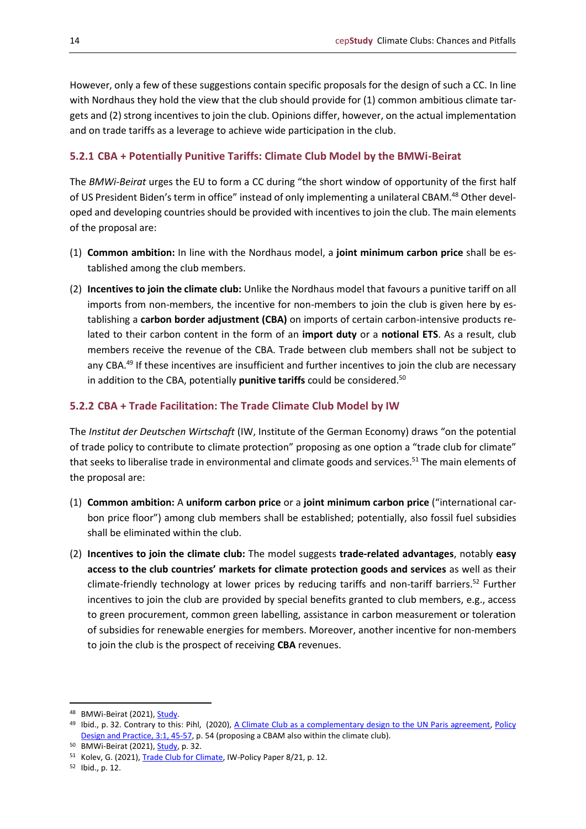However, only a few of these suggestions contain specific proposals for the design of such a CC. In line with Nordhaus they hold the view that the club should provide for (1) common ambitious climate targets and (2) strong incentives to join the club. Opinions differ, however, on the actual implementation and on trade tariffs as a leverage to achieve wide participation in the club.

#### <span id="page-13-0"></span>**5.2.1 CBA + Potentially Punitive Tariffs: Climate Club Model by the BMWi-Beirat**

The *BMWi-Beirat* urges the EU to form a CC during "the short window of opportunity of the first half of US President Biden's term in office" instead of only implementing a unilateral CBAM.<sup>48</sup> Other developed and developing countries should be provided with incentives to join the club. The main elements of the proposal are:

- (1) **Common ambition:** In line with the Nordhaus model, a **joint minimum carbon price** shall be established among the club members.
- (2) **Incentives to join the climate club:** Unlike the Nordhaus model that favours a punitive tariff on all imports from non-members, the incentive for non-members to join the club is given here by establishing a **carbon border adjustment (CBA)** on imports of certain carbon-intensive products related to their carbon content in the form of an **import duty** or a **notional ETS**. As a result, club members receive the revenue of the CBA. Trade between club members shall not be subject to any CBA.<sup>49</sup> If these incentives are insufficient and further incentives to join the club are necessary in addition to the CBA, potentially **punitive tariffs** could be considered.<sup>50</sup>

#### <span id="page-13-1"></span>**5.2.2 CBA + Trade Facilitation: The Trade Climate Club Model by IW**

The *Institut der Deutschen Wirtschaft* (IW, Institute of the German Economy) draws "on the potential of trade policy to contribute to climate protection" proposing as one option a "trade club for climate" that seeks to liberalise trade in environmental and climate goods and services.<sup>51</sup> The main elements of the proposal are:

- (1) **Common ambition:** A **uniform carbon price** or a **joint minimum carbon price** ("international carbon price floor") among club members shall be established; potentially, also fossil fuel subsidies shall be eliminated within the club.
- (2) **Incentives to join the climate club:** The model suggests **trade-related advantages**, notably **easy access to the club countries' markets for climate protection goods and services** as well as their climate-friendly technology at lower prices by reducing tariffs and non-tariff barriers. <sup>52</sup> Further incentives to join the club are provided by special benefits granted to club members, e.g., access to green procurement, common green labelling, assistance in carbon measurement or toleration of subsidies for renewable energies for members. Moreover, another incentive for non-members to join the club is the prospect of receiving **CBA** revenues.

<sup>48</sup> BMWi-Beirat (2021), Study.

<sup>49</sup> Ibid., p. 32. Contrary to this: Pihl, (2020), [A Climate Club as a complementary design to the UN Paris agreement,](https://www.tandfonline.com/doi/full/10.1080/25741292.2019.1710911) Policy Design and Practice, 3:1, 45-57, p. 54 (proposing a CBAM also within the climate club).

<sup>50</sup> BMWi-Beirat (2021), **Study**, p. 32.

<sup>51</sup> Kolev, G. (2021)[, Trade Club for Climate,](https://www.iwkoeln.de/fileadmin/user_upload/IW-Policy-Paper_TCC_Stand26042021.pdf) IW-Policy Paper 8/21, p. 12.

<sup>52</sup> Ibid., p. 12.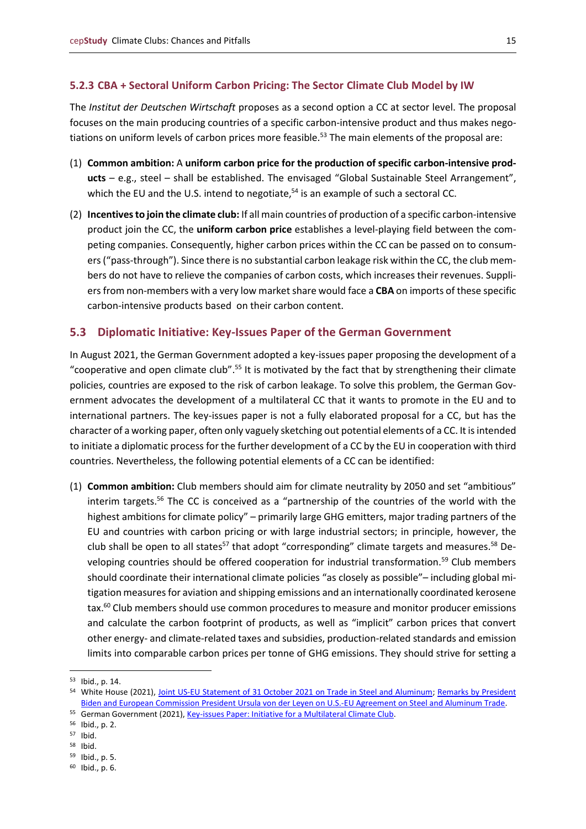#### <span id="page-14-0"></span>**5.2.3 CBA + Sectoral Uniform Carbon Pricing: The Sector Climate Club Model by IW**

The *Institut der Deutschen Wirtschaft* proposes as a second option a CC at sector level. The proposal focuses on the main producing countries of a specific carbon-intensive product and thus makes negotiations on uniform levels of carbon prices more feasible.<sup>53</sup> The main elements of the proposal are:

- (1) **Common ambition:** A **uniform carbon price for the production of specific carbon-intensive products** – e.g., steel – shall be established. The envisaged "Global Sustainable Steel Arrangement", which the EU and the U.S. intend to negotiate,<sup>54</sup> is an example of such a sectoral CC.
- (2) **Incentives to join the climate club:** If all main countries of production of a specific carbon-intensive product join the CC, the **uniform carbon price** establishes a level-playing field between the competing companies. Consequently, higher carbon prices within the CC can be passed on to consumers ("pass-through"). Since there is no substantial carbon leakage risk within the CC, the club members do not have to relieve the companies of carbon costs, which increases their revenues. Suppliers from non-members with a very low market share would face a **CBA** on imports of these specific carbon-intensive products based on their carbon content.

#### <span id="page-14-1"></span>**5.3 Diplomatic Initiative: Key-Issues Paper of the German Government**

In August 2021, the German Government adopted a key-issues paper proposing the development of a "cooperative and open climate club".<sup>55</sup> It is motivated by the fact that by strengthening their climate policies, countries are exposed to the risk of carbon leakage. To solve this problem, the German Government advocates the development of a multilateral CC that it wants to promote in the EU and to international partners. The key-issues paper is not a fully elaborated proposal for a CC, but has the character of a working paper, often only vaguely sketching out potential elements of a CC. It is intended to initiate a diplomatic process for the further development of a CC by the EU in cooperation with third countries. Nevertheless, the following potential elements of a CC can be identified:

(1) **Common ambition:** Club members should aim for climate neutrality by 2050 and set "ambitious" interim targets.<sup>56</sup> The CC is conceived as a "partnership of the countries of the world with the highest ambitions for climate policy" – primarily large GHG emitters, major trading partners of the EU and countries with carbon pricing or with large industrial sectors; in principle, however, the club shall be open to all states<sup>57</sup> that adopt "corresponding" climate targets and measures.<sup>58</sup> Developing countries should be offered cooperation for industrial transformation.<sup>59</sup> Club members should coordinate their international climate policies "as closely as possible"– including global mitigation measures for aviation and shipping emissions and an internationally coordinated kerosene tax.<sup>60</sup> Club members should use common procedures to measure and monitor producer emissions and calculate the carbon footprint of products, as well as "implicit" carbon prices that convert other energy- and climate-related taxes and subsidies, production-related standards and emission limits into comparable carbon prices per tonne of GHG emissions. They should strive for setting a

<sup>53</sup> Ibid., p. 14.

<sup>54</sup> White House (2021), Joint US-EU Statement of 31 [October 2021 on Trade in Steel and Aluminum;](https://www.whitehouse.gov/briefing-room/statements-releases/2021/10/31/joint-us-eu-statement-on-trade-in-steel-and-aluminum/) Remarks by President [Biden and European Commission President Ursula von der Leyen on U.S.-EU Agreement on Steel and Aluminum Trade.](https://www.whitehouse.gov/briefing-room/speeches-remarks/2021/10/31/remarks-by-president-biden-and-european-commission-president-ursula-von-der-leyen-on-u-s-eu-agreement-on-steel-and-aluminum-trade/)

<sup>55</sup> German Government (2021)[, Key-issues Paper: Initiative for a Multilateral Climate Club.](https://www.bundesfinanzministerium.de/Content/EN/Pressemitteilungen/2021/20210825-german-government-wants-to-establish-an-international-climate-club.html)

<sup>56</sup> Ibid., p. 2.

<sup>57</sup> Ibid.

<sup>58</sup> Ibid.

<sup>59</sup> Ibid., p. 5.

<sup>60</sup> Ibid., p. 6.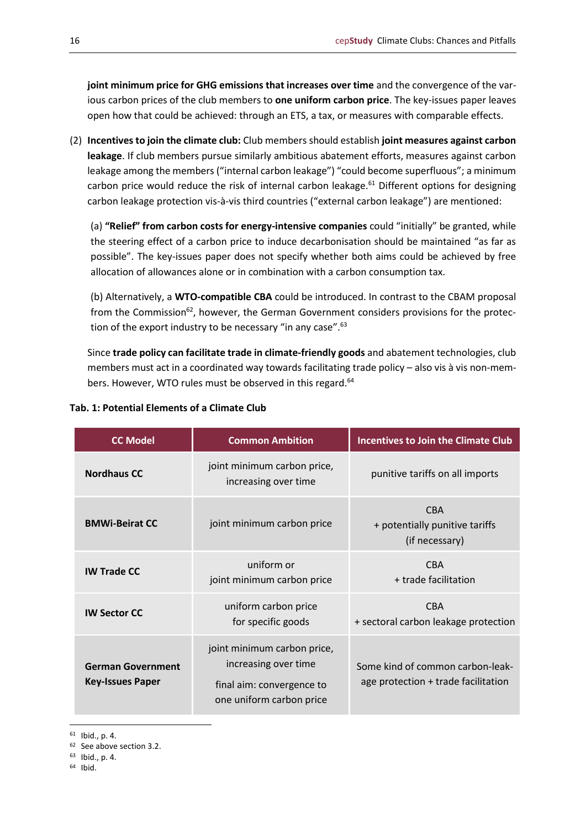**joint minimum price for GHG emissions that increases over time** and the convergence of the various carbon prices of the club members to **one uniform carbon price**. The key-issues paper leaves open how that could be achieved: through an ETS, a tax, or measures with comparable effects.

(2) **Incentives to join the climate club:** Club members should establish **joint measures against carbon leakage**. If club members pursue similarly ambitious abatement efforts, measures against carbon leakage among the members ("internal carbon leakage") "could become superfluous"; a minimum carbon price would reduce the risk of internal carbon leakage.<sup>61</sup> Different options for designing carbon leakage protection vis-à-vis third countries ("external carbon leakage") are mentioned:

(a) **"Relief" from carbon costs for energy-intensive companies** could "initially" be granted, while the steering effect of a carbon price to induce decarbonisation should be maintained "as far as possible". The key-issues paper does not specify whether both aims could be achieved by free allocation of allowances alone or in combination with a carbon consumption tax.

(b) Alternatively, a **WTO-compatible CBA** could be introduced. In contrast to the CBAM proposal from the Commission<sup>62</sup>, however, the German Government considers provisions for the protection of the export industry to be necessary "in any case".<sup>63</sup>

Since **trade policy can facilitate trade in climate-friendly goods** and abatement technologies, club members must act in a coordinated way towards facilitating trade policy – also vis à vis non-members. However, WTO rules must be observed in this regard.<sup>64</sup>

| <b>CC Model</b>                                     | <b>Common Ambition</b>                                                                                       | <b>Incentives to Join the Climate Club</b>                              |  |  |
|-----------------------------------------------------|--------------------------------------------------------------------------------------------------------------|-------------------------------------------------------------------------|--|--|
| <b>Nordhaus CC</b>                                  | joint minimum carbon price,<br>increasing over time                                                          | punitive tariffs on all imports                                         |  |  |
| <b>BMWi-Beirat CC</b>                               | joint minimum carbon price                                                                                   | <b>CBA</b><br>+ potentially punitive tariffs<br>(if necessary)          |  |  |
| <b>IW Trade CC</b>                                  | uniform or<br>joint minimum carbon price                                                                     | <b>CBA</b><br>+ trade facilitation                                      |  |  |
| <b>IW Sector CC</b>                                 | uniform carbon price<br>for specific goods                                                                   | <b>CBA</b><br>+ sectoral carbon leakage protection                      |  |  |
| <b>German Government</b><br><b>Key-Issues Paper</b> | joint minimum carbon price,<br>increasing over time<br>final aim: convergence to<br>one uniform carbon price | Some kind of common carbon-leak-<br>age protection + trade facilitation |  |  |

#### **Tab. 1: Potential Elements of a Climate Club**

 $61$  Ibid., p. 4.

<sup>62</sup> See above section 3.2.

<sup>63</sup> Ibid., p. 4.

<sup>64</sup> Ibid.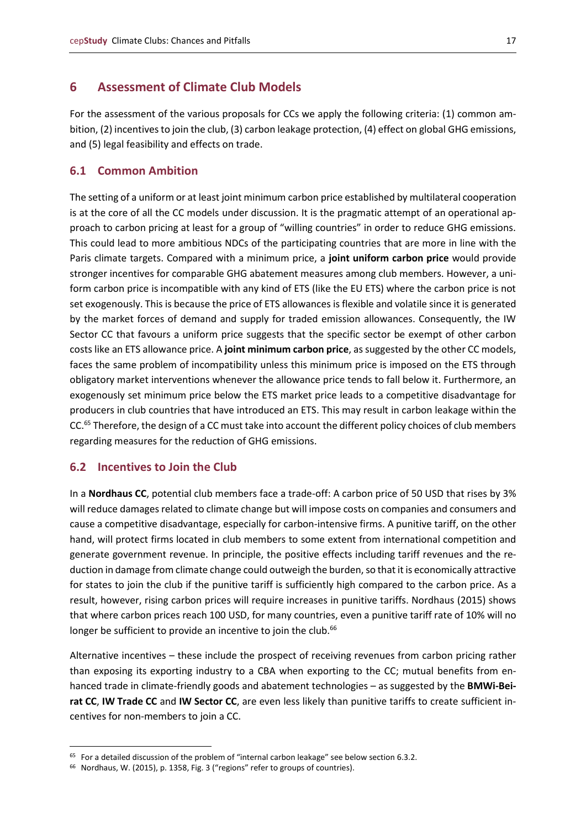#### <span id="page-16-0"></span>**6 Assessment of Climate Club Models**

For the assessment of the various proposals for CCs we apply the following criteria: (1) common ambition, (2) incentives to join the club, (3) carbon leakage protection, (4) effect on global GHG emissions, and (5) legal feasibility and effects on trade.

#### <span id="page-16-1"></span>**6.1 Common Ambition**

The setting of a uniform or at least joint minimum carbon price established by multilateral cooperation is at the core of all the CC models under discussion. It is the pragmatic attempt of an operational approach to carbon pricing at least for a group of "willing countries" in order to reduce GHG emissions. This could lead to more ambitious NDCs of the participating countries that are more in line with the Paris climate targets. Compared with a minimum price, a **joint uniform carbon price** would provide stronger incentives for comparable GHG abatement measures among club members. However, a uniform carbon price is incompatible with any kind of ETS (like the EU ETS) where the carbon price is not set exogenously. This is because the price of ETS allowances is flexible and volatile since it is generated by the market forces of demand and supply for traded emission allowances. Consequently, the IW Sector CC that favours a uniform price suggests that the specific sector be exempt of other carbon costs like an ETS allowance price. A **joint minimum carbon price**, as suggested by the other CC models, faces the same problem of incompatibility unless this minimum price is imposed on the ETS through obligatory market interventions whenever the allowance price tends to fall below it. Furthermore, an exogenously set minimum price below the ETS market price leads to a competitive disadvantage for producers in club countries that have introduced an ETS. This may result in carbon leakage within the CC.<sup>65</sup> Therefore, the design of a CC must take into account the different policy choices of club members regarding measures for the reduction of GHG emissions.

#### <span id="page-16-2"></span>**6.2 Incentives to Join the Club**

In a **Nordhaus CC**, potential club members face a trade-off: A carbon price of 50 USD that rises by 3% will reduce damages related to climate change but will impose costs on companies and consumers and cause a competitive disadvantage, especially for carbon-intensive firms. A punitive tariff, on the other hand, will protect firms located in club members to some extent from international competition and generate government revenue. In principle, the positive effects including tariff revenues and the reduction in damage from climate change could outweigh the burden, so that it is economically attractive for states to join the club if the punitive tariff is sufficiently high compared to the carbon price. As a result, however, rising carbon prices will require increases in punitive tariffs. Nordhaus (2015) shows that where carbon prices reach 100 USD, for many countries, even a punitive tariff rate of 10% will no longer be sufficient to provide an incentive to join the club.<sup>66</sup>

Alternative incentives – these include the prospect of receiving revenues from carbon pricing rather than exposing its exporting industry to a CBA when exporting to the CC; mutual benefits from enhanced trade in climate-friendly goods and abatement technologies – as suggested by the **BMWi-Beirat CC**, **IW Trade CC** and **IW Sector CC**, are even less likely than punitive tariffs to create sufficient incentives for non-members to join a CC.

<sup>&</sup>lt;sup>65</sup> For a detailed discussion of the problem of "internal carbon leakage" see below section 6.3.2.

<sup>66</sup> Nordhaus, W. (2015), p. 1358, Fig. 3 ("regions" refer to groups of countries).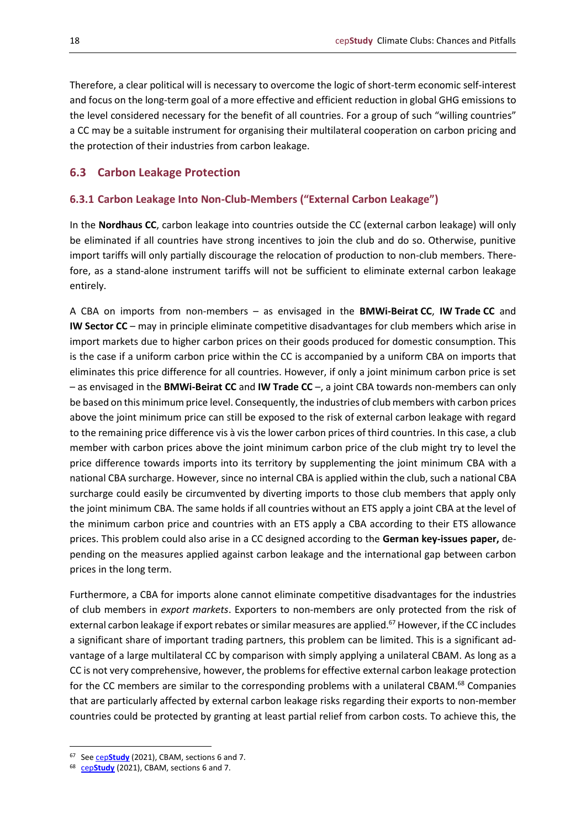Therefore, a clear political will is necessary to overcome the logic of short-term economic self-interest and focus on the long-term goal of a more effective and efficient reduction in global GHG emissions to the level considered necessary for the benefit of all countries. For a group of such "willing countries" a CC may be a suitable instrument for organising their multilateral cooperation on carbon pricing and the protection of their industries from carbon leakage.

#### <span id="page-17-0"></span>**6.3 Carbon Leakage Protection**

#### <span id="page-17-1"></span>**6.3.1 Carbon Leakage Into Non-Club-Members ("External Carbon Leakage")**

In the **Nordhaus CC**, carbon leakage into countries outside the CC (external carbon leakage) will only be eliminated if all countries have strong incentives to join the club and do so. Otherwise, punitive import tariffs will only partially discourage the relocation of production to non-club members. Therefore, as a stand-alone instrument tariffs will not be sufficient to eliminate external carbon leakage entirely.

A CBA on imports from non-members – as envisaged in the **BMWi-Beirat CC**, **IW Trade CC** and **IW Sector CC** – may in principle eliminate competitive disadvantages for club members which arise in import markets due to higher carbon prices on their goods produced for domestic consumption. This is the case if a uniform carbon price within the CC is accompanied by a uniform CBA on imports that eliminates this price difference for all countries. However, if only a joint minimum carbon price is set – as envisaged in the **BMWi-Beirat CC** and **IW Trade CC** –, a joint CBA towards non-members can only be based on this minimum price level. Consequently, the industries of club members with carbon prices above the joint minimum price can still be exposed to the risk of external carbon leakage with regard to the remaining price difference vis à vis the lower carbon prices of third countries. In this case, a club member with carbon prices above the joint minimum carbon price of the club might try to level the price difference towards imports into its territory by supplementing the joint minimum CBA with a national CBA surcharge. However, since no internal CBA is applied within the club, such a national CBA surcharge could easily be circumvented by diverting imports to those club members that apply only the joint minimum CBA. The same holds if all countries without an ETS apply a joint CBA at the level of the minimum carbon price and countries with an ETS apply a CBA according to their ETS allowance prices. This problem could also arise in a CC designed according to the **German key-issues paper,** depending on the measures applied against carbon leakage and the international gap between carbon prices in the long term.

Furthermore, a CBA for imports alone cannot eliminate competitive disadvantages for the industries of club members in *export markets*. Exporters to non-members are only protected from the risk of external carbon leakage if export rebates or similar measures are applied. <sup>67</sup> However, if the CC includes a significant share of important trading partners, this problem can be limited. This is a significant advantage of a large multilateral CC by comparison with simply applying a unilateral CBAM. As long as a CC is not very comprehensive, however, the problems for effective external carbon leakage protection for the CC members are similar to the corresponding problems with a unilateral CBAM.<sup>68</sup> Companies that are particularly affected by external carbon leakage risks regarding their exports to non-member countries could be protected by granting at least partial relief from carbon costs. To achieve this, the

<sup>67</sup> See cep**[Study](https://www.cep.eu/en/eu-topics/details/cep/cbam-damaging-to-climate-protection-and-eu-export-industries-cepstudy.html)** (2021), CBAM, sections 6 and 7.

<sup>68</sup> cep**[Study](https://www.cep.eu/en/eu-topics/details/cep/cbam-damaging-to-climate-protection-and-eu-export-industries-cepstudy.html)** (2021), CBAM, sections 6 and 7.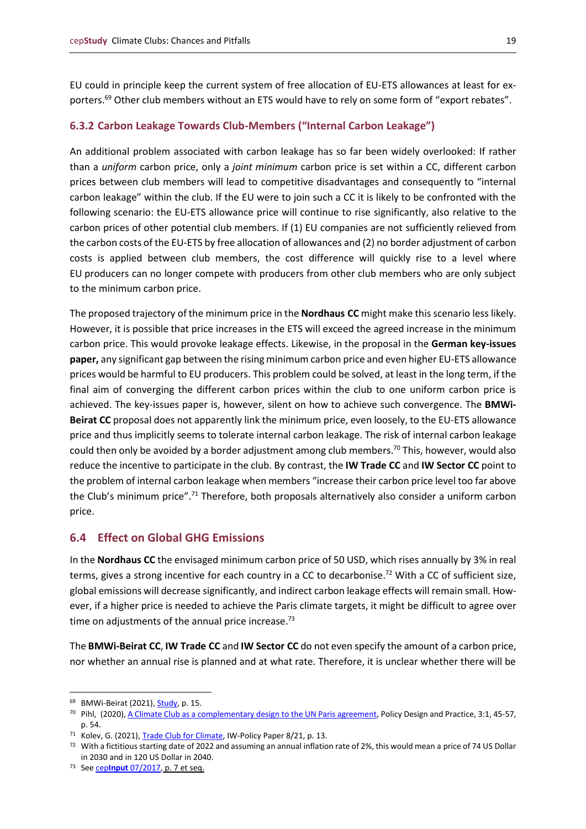EU could in principle keep the current system of free allocation of EU-ETS allowances at least for exporters.<sup>69</sup> Other club members without an ETS would have to rely on some form of "export rebates".

#### <span id="page-18-0"></span>**6.3.2 Carbon Leakage Towards Club-Members ("Internal Carbon Leakage")**

An additional problem associated with carbon leakage has so far been widely overlooked: If rather than a *uniform* carbon price, only a *joint minimum* carbon price is set within a CC, different carbon prices between club members will lead to competitive disadvantages and consequently to "internal carbon leakage" within the club. If the EU were to join such a CC it is likely to be confronted with the following scenario: the EU-ETS allowance price will continue to rise significantly, also relative to the carbon prices of other potential club members. If (1) EU companies are not sufficiently relieved from the carbon costs of the EU-ETS by free allocation of allowances and (2) no border adjustment of carbon costs is applied between club members, the cost difference will quickly rise to a level where EU producers can no longer compete with producers from other club members who are only subject to the minimum carbon price.

The proposed trajectory of the minimum price in the **Nordhaus CC** might make this scenario less likely. However, it is possible that price increases in the ETS will exceed the agreed increase in the minimum carbon price. This would provoke leakage effects. Likewise, in the proposal in the **German key-issues paper,** any significant gap between the rising minimum carbon price and even higher EU-ETS allowance prices would be harmful to EU producers. This problem could be solved, at least in the long term, if the final aim of converging the different carbon prices within the club to one uniform carbon price is achieved. The key-issues paper is, however, silent on how to achieve such convergence. The **BMWi-Beirat CC** proposal does not apparently link the minimum price, even loosely, to the EU-ETS allowance price and thus implicitly seems to tolerate internal carbon leakage. The risk of internal carbon leakage could then only be avoided by a border adjustment among club members.<sup>70</sup> This, however, would also reduce the incentive to participate in the club. By contrast, the **IW Trade CC** and **IW Sector CC** point to the problem of internal carbon leakage when members "increase their carbon price level too far above the Club's minimum price".<sup>71</sup> Therefore, both proposals alternatively also consider a uniform carbon price.

#### <span id="page-18-1"></span>**6.4 Effect on Global GHG Emissions**

In the **Nordhaus CC** the envisaged minimum carbon price of 50 USD, which rises annually by 3% in real terms, gives a strong incentive for each country in a CC to decarbonise.<sup>72</sup> With a CC of sufficient size, global emissions will decrease significantly, and indirect carbon leakage effects will remain small. However, if a higher price is needed to achieve the Paris climate targets, it might be difficult to agree over time on adjustments of the annual price increase.<sup>73</sup>

The **BMWi-Beirat CC**, **IW Trade CC** and **IW Sector CC** do not even specify the amount of a carbon price, nor whether an annual rise is planned and at what rate. Therefore, it is unclear whether there will be

<sup>69</sup> BMWi-Beirat (2021), **Study**, p. 15.

<sup>&</sup>lt;sup>70</sup> Pihl, (2020), [A Climate Club as a complementary design to the UN Paris agreement,](https://www.tandfonline.com/doi/full/10.1080/25741292.2019.1710911) Policy Design and Practice, 3:1, 45-57, p. 54.

<sup>71</sup> Kolev, G. (2021)[, Trade Club for Climate,](https://www.iwkoeln.de/fileadmin/user_upload/IW-Policy-Paper_TCC_Stand26042021.pdf) IW-Policy Paper 8/21, p. 13.

 $72$  With a fictitious starting date of 2022 and assuming an annual inflation rate of 2%, this would mean a price of 74 US Dollar in 2030 and in 120 US Dollar in 2040.

<sup>73</sup> See cep**Input** [07/2017,](https://www.cep.eu/en/eu-topics/details/cep/globalisierung-des-klimaschutzes.html) p. 7 et seq.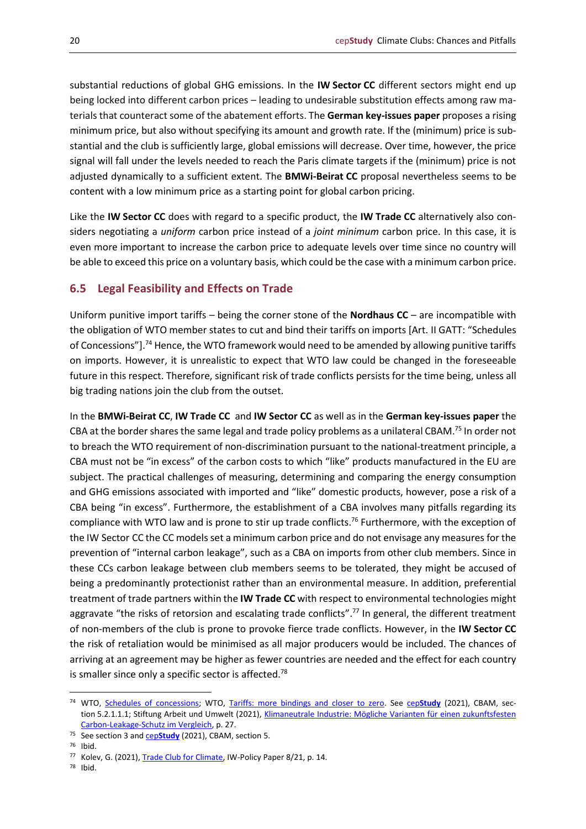substantial reductions of global GHG emissions. In the **IW Sector CC** different sectors might end up being locked into different carbon prices – leading to undesirable substitution effects among raw materials that counteract some of the abatement efforts. The **German key-issues paper** proposes a rising minimum price, but also without specifying its amount and growth rate. If the (minimum) price is substantial and the club is sufficiently large, global emissions will decrease. Over time, however, the price signal will fall under the levels needed to reach the Paris climate targets if the (minimum) price is not adjusted dynamically to a sufficient extent. The **BMWi-Beirat CC** proposal nevertheless seems to be content with a low minimum price as a starting point for global carbon pricing.

Like the **IW Sector CC** does with regard to a specific product, the **IW Trade CC** alternatively also considers negotiating a *uniform* carbon price instead of a *joint minimum* carbon price. In this case, it is even more important to increase the carbon price to adequate levels over time since no country will be able to exceed this price on a voluntary basis, which could be the case with a minimum carbon price.

#### <span id="page-19-0"></span>**6.5 Legal Feasibility and Effects on Trade**

Uniform punitive import tariffs – being the corner stone of the **Nordhaus CC** – are incompatible with the obligation of WTO member states to cut and bind their tariffs on imports [Art. II GATT: "Schedules of Concessions"].<sup>74</sup> Hence, the WTO framework would need to be amended by allowing punitive tariffs on imports. However, it is unrealistic to expect that WTO law could be changed in the foreseeable future in this respect. Therefore, significant risk of trade conflicts persists for the time being, unless all big trading nations join the club from the outset.

In the **BMWi-Beirat CC**, **IW Trade CC** and **IW Sector CC** as well as in the **German key-issues paper** the CBA at the border shares the same legal and trade policy problems as a unilateral CBAM.<sup>75</sup> In order not to breach the WTO requirement of non-discrimination pursuant to the national-treatment principle, a CBA must not be "in excess" of the carbon costs to which "like" products manufactured in the EU are subject. The practical challenges of measuring, determining and comparing the energy consumption and GHG emissions associated with imported and "like" domestic products, however, pose a risk of a CBA being "in excess". Furthermore, the establishment of a CBA involves many pitfalls regarding its compliance with WTO law and is prone to stir up trade conflicts.<sup>76</sup> Furthermore, with the exception of the IW Sector CC the CC models set a minimum carbon price and do not envisage any measures for the prevention of "internal carbon leakage", such as a CBA on imports from other club members. Since in these CCs carbon leakage between club members seems to be tolerated, they might be accused of being a predominantly protectionist rather than an environmental measure. In addition, preferential treatment of trade partners within the **IW Trade CC** with respect to environmental technologies might aggravate "the risks of retorsion and escalating trade conflicts".<sup>77</sup> In general, the different treatment of non-members of the club is prone to provoke fierce trade conflicts. However, in the **IW Sector CC** the risk of retaliation would be minimised as all major producers would be included. The chances of arriving at an agreement may be higher as fewer countries are needed and the effect for each country is smaller since only a specific sector is affected.<sup>78</sup>

<sup>74</sup> WTO, [Schedules of concessions;](https://www.wto.org/english/tratop_e/schedules_e/goods_schedules_e.htm) WTO, [Tariffs: more bindings and closer to zero.](https://www.wto.org/english/thewto_e/whatis_e/tif_e/agrm2_e.htm#con) See cep**[Study](https://www.cep.eu/en/eu-topics/details/cep/cbam-damaging-to-climate-protection-and-eu-export-industries-cepstudy.html)** (2021), CBAM, section 5.2.1.1.1; Stiftung Arbeit und Umwelt (2021), Klimaneutrale Industrie: Mögliche Varianten für einen zukunftsfesten [Carbon-Leakage-Schutz im Vergleich,](https://www.arbeit-umwelt.de/wp-content/uploads/Diskussionspapier_Carbon-Leakage_Schutz_StAU.pdf) p. 27.

<sup>75</sup> See section 3 and cep**[Study](https://www.cep.eu/en/eu-topics/details/cep/cbam-damaging-to-climate-protection-and-eu-export-industries-cepstudy.html)** (2021), CBAM, section 5.

<sup>76</sup> Ibid.

<sup>77</sup> Kolev, G. (2021)[, Trade Club for Climate,](https://www.iwkoeln.de/fileadmin/user_upload/IW-Policy-Paper_TCC_Stand26042021.pdf) IW-Policy Paper 8/21, p. 14.

<sup>78</sup> Ibid.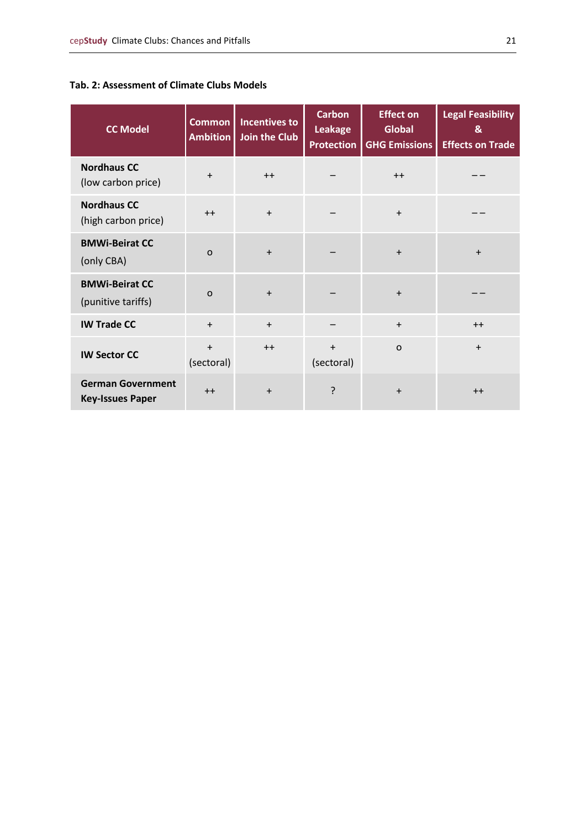#### **Tab. 2: Assessment of Climate Clubs Models**

| <b>CC Model</b>                                     | <b>Common</b><br><b>Ambition</b> | <b>Incentives to</b><br>Join the Club | <b>Carbon</b><br><b>Leakage</b><br><b>Protection</b> | <b>Effect on</b><br><b>Global</b><br><b>GHG Emissions</b> | <b>Legal Feasibility</b><br>&<br><b>Effects on Trade</b> |
|-----------------------------------------------------|----------------------------------|---------------------------------------|------------------------------------------------------|-----------------------------------------------------------|----------------------------------------------------------|
| <b>Nordhaus CC</b><br>(low carbon price)            | $+$                              | $++$                                  |                                                      | $++$                                                      |                                                          |
| <b>Nordhaus CC</b><br>(high carbon price)           | $++$                             | $+$                                   |                                                      | $+$                                                       |                                                          |
| <b>BMWi-Beirat CC</b><br>(only CBA)                 | $\Omega$                         | $+$                                   |                                                      | $+$                                                       | $+$                                                      |
| <b>BMWi-Beirat CC</b><br>(punitive tariffs)         | $\Omega$                         | $+$                                   |                                                      | $+$                                                       |                                                          |
| <b>IW Trade CC</b>                                  | $+$                              | $+$                                   |                                                      | $+$                                                       | $++$                                                     |
| <b>IW Sector CC</b>                                 | $+$<br>(sectoral)                | $++$                                  | $+$<br>(sectoral)                                    | $\Omega$                                                  | $\ddot{}$                                                |
| <b>German Government</b><br><b>Key-Issues Paper</b> | $++$                             | $+$                                   | ς                                                    | $\ddot{}$                                                 | $++$                                                     |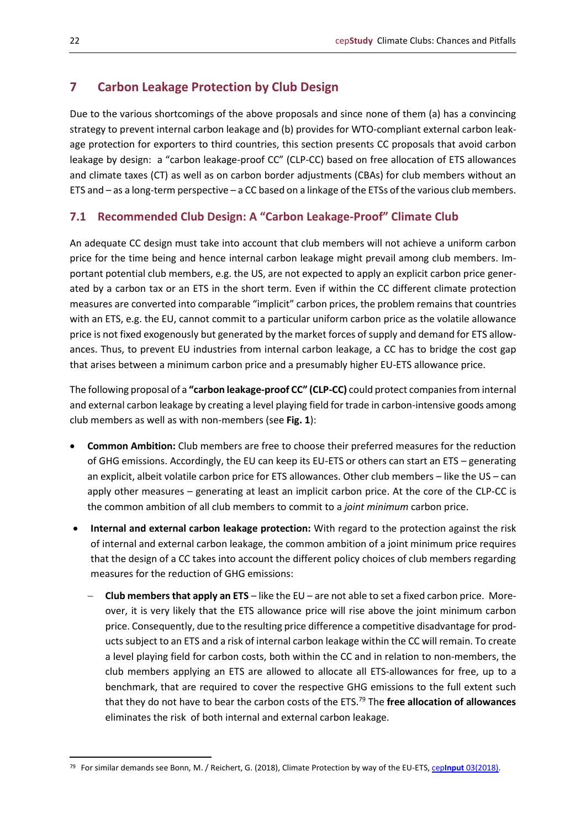# <span id="page-21-0"></span>**7 Carbon Leakage Protection by Club Design**

Due to the various shortcomings of the above proposals and since none of them (a) has a convincing strategy to prevent internal carbon leakage and (b) provides for WTO-compliant external carbon leakage protection for exporters to third countries, this section presents CC proposals that avoid carbon leakage by design: a "carbon leakage-proof CC" (CLP-CC) based on free allocation of ETS allowances and climate taxes (CT) as well as on carbon border adjustments (CBAs) for club members without an ETS and – as a long-term perspective – a CC based on a linkage of the ETSs of the various club members.

# <span id="page-21-1"></span>**7.1 Recommended Club Design: A "Carbon Leakage-Proof" Climate Club**

An adequate CC design must take into account that club members will not achieve a uniform carbon price for the time being and hence internal carbon leakage might prevail among club members. Important potential club members, e.g. the US, are not expected to apply an explicit carbon price generated by a carbon tax or an ETS in the short term. Even if within the CC different climate protection measures are converted into comparable "implicit" carbon prices, the problem remains that countries with an ETS, e.g. the EU, cannot commit to a particular uniform carbon price as the volatile allowance price is not fixed exogenously but generated by the market forces of supply and demand for ETS allowances. Thus, to prevent EU industries from internal carbon leakage, a CC has to bridge the cost gap that arises between a minimum carbon price and a presumably higher EU-ETS allowance price.

The following proposal of a **"carbon leakage-proof CC" (CLP-CC)** could protect companies from internal and external carbon leakage by creating a level playing field for trade in carbon-intensive goods among club members as well as with non-members (see **Fig. 1**):

- **Common Ambition:** Club members are free to choose their preferred measures for the reduction of GHG emissions. Accordingly, the EU can keep its EU-ETS or others can start an ETS – generating an explicit, albeit volatile carbon price for ETS allowances. Other club members – like the US – can apply other measures – generating at least an implicit carbon price. At the core of the CLP-CC is the common ambition of all club members to commit to a *joint minimum* carbon price.
- **Internal and external carbon leakage protection:** With regard to the protection against the risk of internal and external carbon leakage, the common ambition of a joint minimum price requires that the design of a CC takes into account the different policy choices of club members regarding measures for the reduction of GHG emissions:
	- − **Club members that apply an ETS** like the EU are not able to set a fixed carbon price. Moreover, it is very likely that the ETS allowance price will rise above the joint minimum carbon price. Consequently, due to the resulting price difference a competitive disadvantage for products subject to an ETS and a risk of internal carbon leakage within the CC will remain. To create a level playing field for carbon costs, both within the CC and in relation to non-members, the club members applying an ETS are allowed to allocate all ETS-allowances for free, up to a benchmark, that are required to cover the respective GHG emissions to the full extent such that they do not have to bear the carbon costs of the ETS.<sup>79</sup> The **free allocation of allowances** eliminates the risk of both internal and external carbon leakage.

<sup>79</sup> For similar demands see Bonn, M. / Reichert, G. (2018), Climate Protection by way of the EU-ETS, cep**Input** [03\(2018\).](https://www.cep.eu/fileadmin/user_upload/cep.eu/Studien/cepInput_Klimaschutz_durch_das_EU-ETS/cepInput_Climate_Protection_by_way_of_the_EU_ETS.pdf)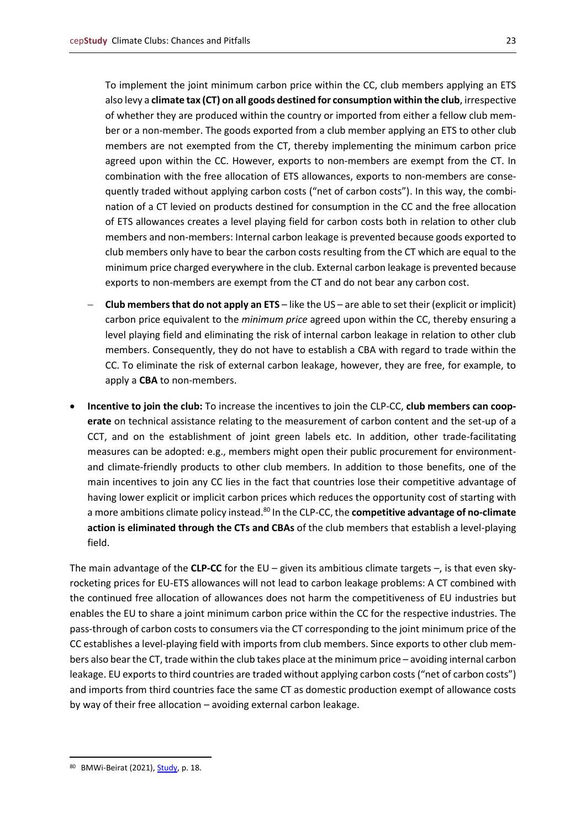- of whether they are produced within the country or imported from either a fellow club member or a non-member. The goods exported from a club member applying an ETS to other club members are not exempted from the CT, thereby implementing the minimum carbon price agreed upon within the CC. However, exports to non-members are exempt from the CT. In combination with the free allocation of ETS allowances, exports to non-members are consequently traded without applying carbon costs ("net of carbon costs"). In this way, the combination of a CT levied on products destined for consumption in the CC and the free allocation of ETS allowances creates a level playing field for carbon costs both in relation to other club members and non-members: Internal carbon leakage is prevented because goods exported to club members only have to bear the carbon costs resulting from the CT which are equal to the minimum price charged everywhere in the club. External carbon leakage is prevented because exports to non-members are exempt from the CT and do not bear any carbon cost.
- − **Club members that do not apply an ETS** like the US are able to set their (explicit or implicit) carbon price equivalent to the *minimum price* agreed upon within the CC, thereby ensuring a level playing field and eliminating the risk of internal carbon leakage in relation to other club members. Consequently, they do not have to establish a CBA with regard to trade within the CC. To eliminate the risk of external carbon leakage, however, they are free, for example, to apply a **CBA** to non-members.
- **Incentive to join the club:** To increase the incentives to join the CLP-CC, **club members can cooperate** on technical assistance relating to the measurement of carbon content and the set-up of a CCT, and on the establishment of joint green labels etc. In addition, other trade-facilitating measures can be adopted: e.g., members might open their public procurement for environmentand climate-friendly products to other club members. In addition to those benefits, one of the main incentives to join any CC lies in the fact that countries lose their competitive advantage of having lower explicit or implicit carbon prices which reduces the opportunity cost of starting with a more ambitions climate policy instead.<sup>80</sup> In the CLP-CC, the **competitive advantage of no-climate action is eliminated through the CTs and CBAs** of the club members that establish a level-playing field.

The main advantage of the **CLP-CC** for the EU – given its ambitious climate targets –, is that even skyrocketing prices for EU-ETS allowances will not lead to carbon leakage problems: A CT combined with the continued free allocation of allowances does not harm the competitiveness of EU industries but enables the EU to share a joint minimum carbon price within the CC for the respective industries. The pass-through of carbon costs to consumers via the CT corresponding to the joint minimum price of the CC establishes a level-playing field with imports from club members. Since exports to other club members also bear the CT, trade within the club takes place at the minimum price – avoiding internal carbon leakage. EU exports to third countries are traded without applying carbon costs ("net of carbon costs") and imports from third countries face the same CT as domestic production exempt of allowance costs by way of their free allocation – avoiding external carbon leakage.

<sup>80</sup> BMWi-Beirat (2021)[, Study,](https://www.bmwi.de/Redaktion/DE/Publikationen/Ministerium/Veroeffentlichung-Wissenschaftlicher-Beirat/gutachten-co2-grenzausgleich.html) p. 18.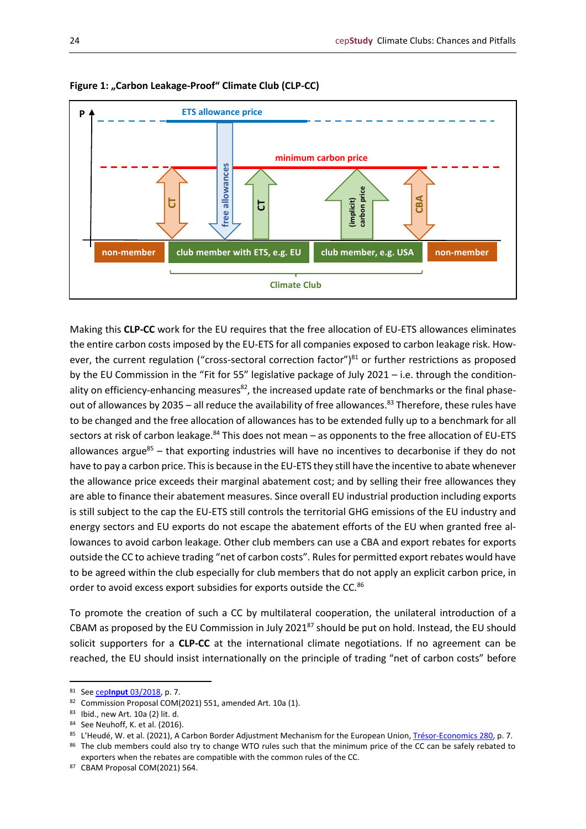

#### **Figure 1: "Carbon Leakage-Proof" Climate Club (CLP-CC)**

Making this **CLP-CC** work for the EU requires that the free allocation of EU-ETS allowances eliminates the entire carbon costs imposed by the EU-ETS for all companies exposed to carbon leakage risk. However, the current regulation ("cross-sectoral correction factor") $81$  or further restrictions as proposed by the EU Commission in the "Fit for 55" legislative package of July 2021 – i.e. through the conditionality on efficiency-enhancing measures<sup>82</sup>, the increased update rate of benchmarks or the final phaseout of allowances by 2035 – all reduce the availability of free allowances.<sup>83</sup> Therefore, these rules have to be changed and the free allocation of allowances has to be extended fully up to a benchmark for all sectors at risk of carbon leakage.<sup>84</sup> This does not mean – as opponents to the free allocation of EU-ETS allowances argue<sup>85</sup> – that exporting industries will have no incentives to decarbonise if they do not have to pay a carbon price. This is because in the EU-ETS they still have the incentive to abate whenever the allowance price exceeds their marginal abatement cost; and by selling their free allowances they are able to finance their abatement measures. Since overall EU industrial production including exports is still subject to the cap the EU-ETS still controls the territorial GHG emissions of the EU industry and energy sectors and EU exports do not escape the abatement efforts of the EU when granted free allowances to avoid carbon leakage. Other club members can use a CBA and export rebates for exports outside the CC to achieve trading "net of carbon costs". Rules for permitted export rebates would have to be agreed within the club especially for club members that do not apply an explicit carbon price, in order to avoid excess export subsidies for exports outside the CC.<sup>86</sup>

To promote the creation of such a CC by multilateral cooperation, the unilateral introduction of a CBAM as proposed by the EU Commission in July 2021<sup>87</sup> should be put on hold. Instead, the EU should solicit supporters for a **CLP-CC** at the international climate negotiations. If no agreement can be reached, the EU should insist internationally on the principle of trading "net of carbon costs" before

86 The club members could also try to change WTO rules such that the minimum price of the CC can be safely rebated to exporters when the rebates are compatible with the common rules of the CC.

<sup>81</sup> See cep**Input** [03/2018,](https://www.cep.eu/eu-themen/details/cep/klimaschutz-durch-das-eu-ets.html) p. 7.

<sup>82</sup> Commission Proposal COM(2021) 551, amended Art. 10a (1).

<sup>83</sup> Ibid., new Art. 10a (2) lit. d.

<sup>84</sup> See Neuhoff, K. et al. (2016).

<sup>85</sup> L'Heudé, W. et al. (2021), A Carbon Border Adjustment Mechanism for the European Union, [Trésor-Economics 280,](https://www.tresor.economie.gouv.fr/Articles/2021/03/23/a-carbon-border-adjustment-mechanism-for-the-european-union) p. 7.

<sup>87</sup> CBAM Proposal COM(2021) 564.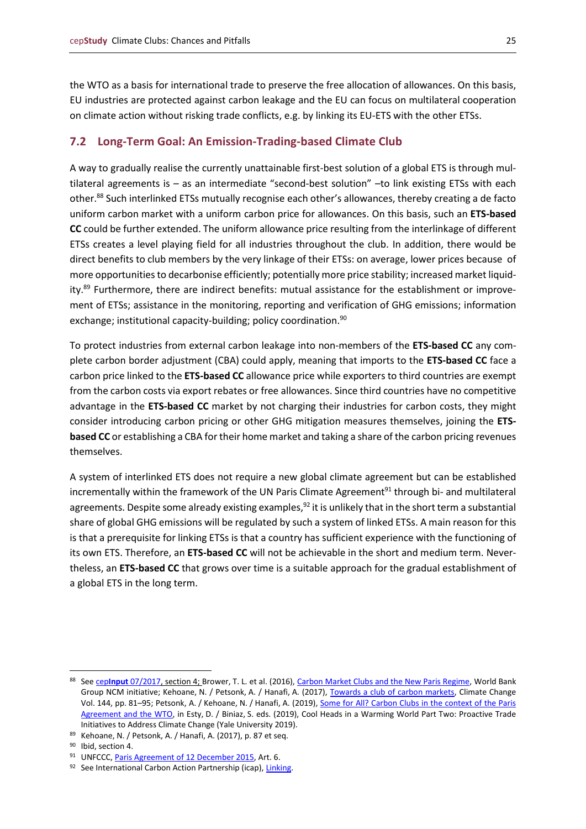the WTO as a basis for international trade to preserve the free allocation of allowances. On this basis, EU industries are protected against carbon leakage and the EU can focus on multilateral cooperation on climate action without risking trade conflicts, e.g. by linking its EU-ETS with the other ETSs.

#### <span id="page-24-0"></span>**7.2 Long-Term Goal: An Emission-Trading-based Climate Club**

A way to gradually realise the currently unattainable first-best solution of a global ETS is through multilateral agreements is – as an intermediate "second-best solution" –to link existing ETSs with each other.<sup>88</sup> Such interlinked ETSs mutually recognise each other's allowances, thereby creating a de facto uniform carbon market with a uniform carbon price for allowances. On this basis, such an **ETS-based CC** could be further extended. The uniform allowance price resulting from the interlinkage of different ETSs creates a level playing field for all industries throughout the club. In addition, there would be direct benefits to club members by the very linkage of their ETSs: on average, lower prices because of more opportunities to decarbonise efficiently; potentially more price stability; increased market liquidity.<sup>89</sup> Furthermore, there are indirect benefits: mutual assistance for the establishment or improvement of ETSs; assistance in the monitoring, reporting and verification of GHG emissions; information exchange; institutional capacity-building; policy coordination.<sup>90</sup>

To protect industries from external carbon leakage into non-members of the **ETS-based CC** any complete carbon border adjustment (CBA) could apply, meaning that imports to the **ETS-based CC** face a carbon price linked to the **ETS-based CC** allowance price while exporters to third countries are exempt from the carbon costs via export rebates or free allowances. Since third countries have no competitive advantage in the **ETS-based CC** market by not charging their industries for carbon costs, they might consider introducing carbon pricing or other GHG mitigation measures themselves, joining the **ETSbased CC** or establishing a CBA for their home market and taking a share of the carbon pricing revenues themselves.

A system of interlinked ETS does not require a new global climate agreement but can be established incrementally within the framework of the UN Paris Climate Agreement<sup>91</sup> through bi- and multilateral agreements. Despite some already existing examples,<sup>92</sup> it is unlikely that in the short term a substantial share of global GHG emissions will be regulated by such a system of linked ETSs. A main reason for this is that a prerequisite for linking ETSs is that a country has sufficient experience with the functioning of its own ETS. Therefore, an **ETS-based CC** will not be achievable in the short and medium term. Nevertheless, an **ETS-based CC** that grows over time is a suitable approach for the gradual establishment of a global ETS in the long term.

<sup>88</sup> See cepinput [07/2017,](https://www.cep.eu/en/eu-topics/details/cep/globalisierung-des-klimaschutzes.html) section 4; Brower, T. L. et al. (2016)[, Carbon Market Clubs and the New Paris Regime,](https://thedocs.worldbank.org/en/doc/323531476453676433-0020022016/original/1700505CarbonMarketClubsWeb.pdf) World Bank Group NCM initiative; Kehoane, N. / Petsonk, A. / Hanafi, A. (2017), [Towards a club of carbon markets,](https://link.springer.com/article/10.1007/s10584-015-1506-z) Climate Change Vol. 144, pp. 81–95; Petsonk, A. / Kehoane, N. / Hanafi, A. (2019)[, Some for All? Carbon Clubs in the context of the Paris](https://envirocenter.yale.edu/sites/default/files/files/CoolHeads_Petsonk.pdf)  [Agreement and the WTO,](https://envirocenter.yale.edu/sites/default/files/files/CoolHeads_Petsonk.pdf) in Esty, D. / Biniaz, S. eds. (2019), Cool Heads in a Warming World Part Two: Proactive Trade Initiatives to Address Climate Change (Yale University 2019).

<sup>89</sup> Kehoane, N. / Petsonk, A. / Hanafi, A. (2017), p. 87 et seq.

<sup>&</sup>lt;sup>90</sup> Ibid, section 4.

<sup>91</sup> UNFCCC, [Paris Agreement of 12](https://unfccc.int/sites/default/files/english_paris_agreement.pdf) December 2015, Art. 6.

<sup>92</sup> See International Carbon Action Partnership (icap)[, Linking.](https://icapcarbonaction.com/en/linking)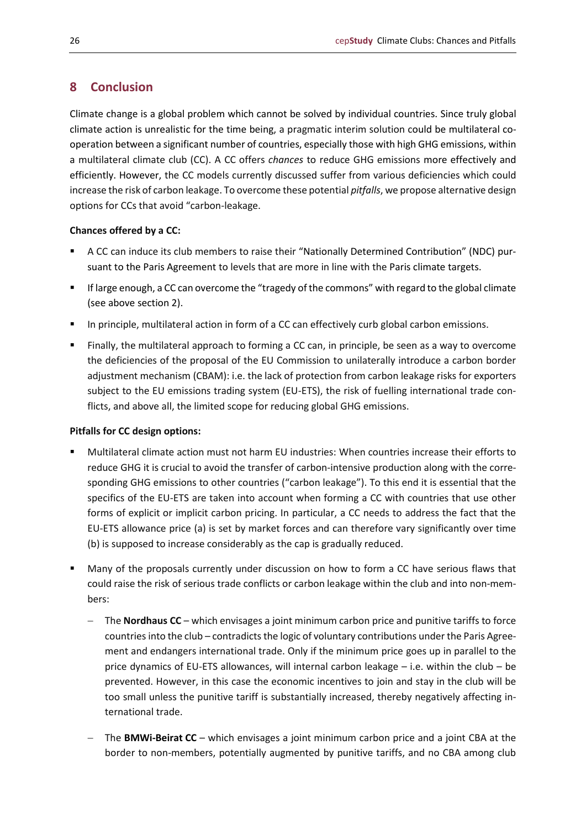# <span id="page-25-0"></span>**8 Conclusion**

Climate change is a global problem which cannot be solved by individual countries. Since truly global climate action is unrealistic for the time being, a pragmatic interim solution could be multilateral cooperation between a significant number of countries, especially those with high GHG emissions, within a multilateral climate club (CC). A CC offers *chances* to reduce GHG emissions more effectively and efficiently. However, the CC models currently discussed suffer from various deficiencies which could increase the risk of carbon leakage. To overcome these potential *pitfalls*, we propose alternative design options for CCs that avoid "carbon-leakage.

#### **Chances offered by a CC:**

- A CC can induce its club members to raise their "Nationally Determined Contribution" (NDC) pursuant to the Paris Agreement to levels that are more in line with the Paris climate targets.
- If large enough, a CC can overcome the "tragedy of the commons" with regard to the global climate (see above section 2).
- In principle, multilateral action in form of a CC can effectively curb global carbon emissions.
- Finally, the multilateral approach to forming a CC can, in principle, be seen as a way to overcome the deficiencies of the proposal of the EU Commission to unilaterally introduce a carbon border adjustment mechanism (CBAM): i.e. the lack of protection from carbon leakage risks for exporters subject to the EU emissions trading system (EU-ETS), the risk of fuelling international trade conflicts, and above all, the limited scope for reducing global GHG emissions.

#### **Pitfalls for CC design options:**

- Multilateral climate action must not harm EU industries: When countries increase their efforts to reduce GHG it is crucial to avoid the transfer of carbon-intensive production along with the corresponding GHG emissions to other countries ("carbon leakage"). To this end it is essential that the specifics of the EU-ETS are taken into account when forming a CC with countries that use other forms of explicit or implicit carbon pricing. In particular, a CC needs to address the fact that the EU-ETS allowance price (a) is set by market forces and can therefore vary significantly over time (b) is supposed to increase considerably as the cap is gradually reduced.
- Many of the proposals currently under discussion on how to form a CC have serious flaws that could raise the risk of serious trade conflicts or carbon leakage within the club and into non-members:
	- − The **Nordhaus CC** which envisages a joint minimum carbon price and punitive tariffs to force countries into the club – contradicts the logic of voluntary contributions under the Paris Agreement and endangers international trade. Only if the minimum price goes up in parallel to the price dynamics of EU-ETS allowances, will internal carbon leakage – i.e. within the club – be prevented. However, in this case the economic incentives to join and stay in the club will be too small unless the punitive tariff is substantially increased, thereby negatively affecting international trade.
	- − The **BMWi-Beirat CC** which envisages a joint minimum carbon price and a joint CBA at the border to non-members, potentially augmented by punitive tariffs, and no CBA among club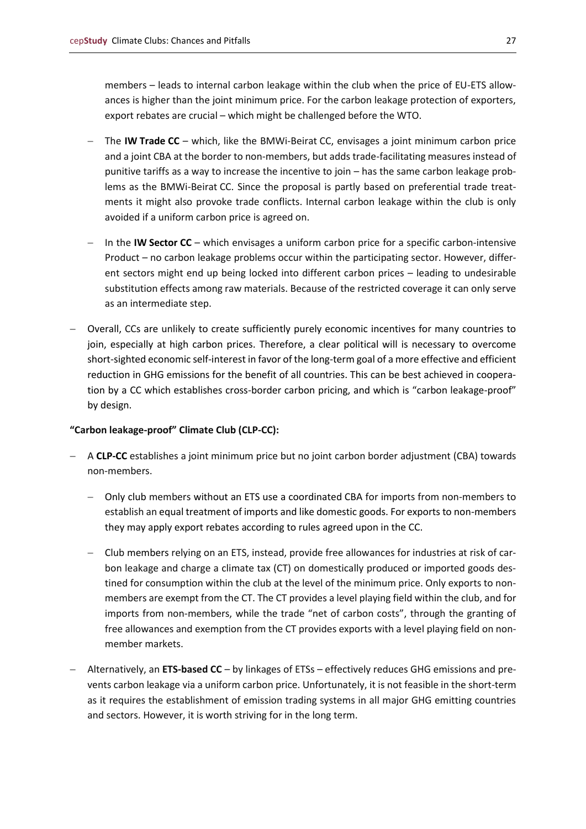members – leads to internal carbon leakage within the club when the price of EU-ETS allowances is higher than the joint minimum price. For the carbon leakage protection of exporters, export rebates are crucial – which might be challenged before the WTO.

- − The **IW Trade CC** which, like the BMWi-Beirat CC, envisages a joint minimum carbon price and a joint CBA at the border to non-members, but adds trade-facilitating measures instead of punitive tariffs as a way to increase the incentive to join – has the same carbon leakage problems as the BMWi-Beirat CC. Since the proposal is partly based on preferential trade treatments it might also provoke trade conflicts. Internal carbon leakage within the club is only avoided if a uniform carbon price is agreed on.
- − In the **IW Sector CC** which envisages a uniform carbon price for a specific carbon-intensive Product – no carbon leakage problems occur within the participating sector. However, different sectors might end up being locked into different carbon prices – leading to undesirable substitution effects among raw materials. Because of the restricted coverage it can only serve as an intermediate step.
- − Overall, CCs are unlikely to create sufficiently purely economic incentives for many countries to join, especially at high carbon prices. Therefore, a clear political will is necessary to overcome short-sighted economic self-interest in favor of the long-term goal of a more effective and efficient reduction in GHG emissions for the benefit of all countries. This can be best achieved in cooperation by a CC which establishes cross-border carbon pricing, and which is "carbon leakage-proof" by design.

#### **"Carbon leakage-proof" Climate Club (CLP-CC):**

- − A **CLP-CC** establishes a joint minimum price but no joint carbon border adjustment (CBA) towards non-members.
	- Only club members without an ETS use a coordinated CBA for imports from non-members to establish an equal treatment of imports and like domestic goods. For exports to non-members they may apply export rebates according to rules agreed upon in the CC.
	- − Club members relying on an ETS, instead, provide free allowances for industries at risk of carbon leakage and charge a climate tax (CT) on domestically produced or imported goods destined for consumption within the club at the level of the minimum price. Only exports to nonmembers are exempt from the CT. The CT provides a level playing field within the club, and for imports from non-members, while the trade "net of carbon costs", through the granting of free allowances and exemption from the CT provides exports with a level playing field on nonmember markets.
- − Alternatively, an **ETS-based CC** by linkages of ETSs effectively reduces GHG emissions and prevents carbon leakage via a uniform carbon price. Unfortunately, it is not feasible in the short-term as it requires the establishment of emission trading systems in all major GHG emitting countries and sectors. However, it is worth striving for in the long term.